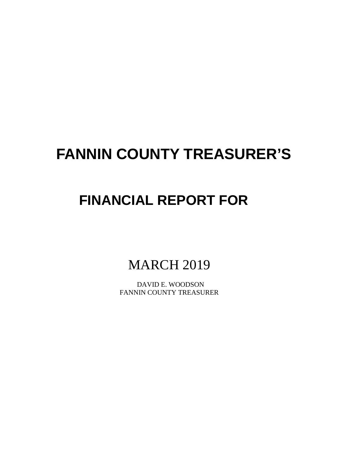# **FANNIN COUNTY TREASURER'S**

# **FINANCIAL REPORT FOR**

**MARCH 2019** 

 DAVID E. WOODSON FANNIN COUNTY TREASURER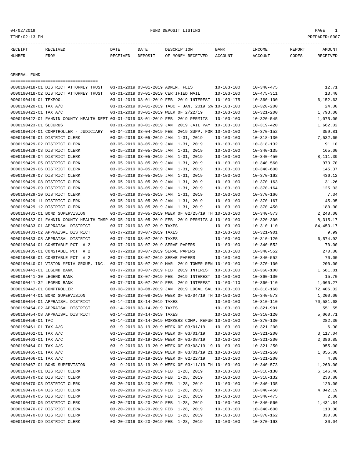## 04/02/2019 FUND DEPOSIT LISTING PAGE 1

| RECEIPT | RECEIVED | DATE     | DATE    | DESCRIPTION       | <b>BANK</b> | <b>TNCOME</b> | <b>REPORT</b> | AMOUNT          |
|---------|----------|----------|---------|-------------------|-------------|---------------|---------------|-----------------|
| NUMBER  | FROM     | RECEIVED | DEPOSIT | OF MONEY RECEIVED | ACCOUNT     | ACCOUNT       | CODES         | <b>RECEIVED</b> |
|         |          |          |         |                   |             |               |               |                 |

GENERAL FUND

| =====================================                                                        |                             |                                                            |                  |                  |             |
|----------------------------------------------------------------------------------------------|-----------------------------|------------------------------------------------------------|------------------|------------------|-------------|
| 0000190418-01 DISTRICT ATTORNEY TRUST                                                        |                             | 03-01-2019 03-01-2019 ADMIN. FEES                          | $10 - 103 - 100$ | $10 - 340 - 475$ | 12.71       |
| 0000190418-02 DISTRICT ATTORNEY TRUST                                                        |                             | 03-01-2019 03-01-2019 CERTIFIED MAIL                       | $10 - 103 - 100$ | $10 - 475 - 311$ | 13.40       |
| 0000190419-01 TEXPOOL                                                                        |                             | 03-01-2019 03-01-2019 FEB. 2019 INTEREST                   | 10-103-175       | $10 - 360 - 100$ | 6,152.63    |
| 0000190420-01 TAX A/C                                                                        |                             | $03-01-2019$ $03-01-2019$ TABC - JAN. 2019 5% $10-103-100$ |                  | $10 - 320 - 200$ | 24.00       |
| 0000190421-01 TAX A/C                                                                        |                             | 03-01-2019 03-01-2019 WEEK OF 2/22/19                      | $10 - 103 - 100$ | $10 - 321 - 200$ | 1,793.00    |
| 0000190422-01 FANNIN COUNTY HEALTH DEPT 03-01-2019 03-01-2019 FEB. 2019 PERMITS              |                             |                                                            | $10 - 103 - 100$ | $10 - 320 - 545$ | 1,075.00    |
| 0000190423-01 SECURUS                                                                        |                             | 03-01-2019 03-01-2019 JAN. 2019 JAIL PAY 10-103-100        |                  | $10 - 319 - 420$ | 1,662.02    |
| 0000190424-01 COMPTROLLER - JUDICIARY                                                        |                             | 03-04-2019 03-04-2019 FEB. 2019 SUPP. FOR 10-103-100       |                  | 10-370-152       | 359.81      |
| 0000190429-01 DISTRICT CLERK                                                                 |                             | 03-05-2019 03-05-2019 JAN. 1-31, 2019                      | $10 - 103 - 100$ | $10 - 318 - 130$ | 7.532.60    |
| 0000190429-02 DISTRICT CLERK                                                                 |                             | 03-05-2019 03-05-2019 JAN. 1-31, 2019                      | $10 - 103 - 100$ | $10 - 318 - 132$ | 91.10       |
| 0000190429-03 DISTRICT CLERK                                                                 |                             | 03-05-2019 03-05-2019 JAN. 1-31, 2019                      | $10 - 103 - 100$ | $10 - 340 - 135$ | 165.00      |
| 0000190429-04 DISTRICT CLERK                                                                 |                             | 03-05-2019 03-05-2019 JAN. 1-31, 2019                      | $10 - 103 - 100$ | $10 - 340 - 450$ | 8,111.39    |
| 0000190429-05 DISTRICT CLERK                                                                 |                             | 03-05-2019 03-05-2019 JAN. 1-31, 2019                      | $10 - 103 - 100$ | $10 - 340 - 560$ | 973.70      |
| 0000190429-06 DISTRICT CLERK                                                                 |                             | 03-05-2019 03-05-2019 JAN. 1-31, 2019                      | $10 - 103 - 100$ | $10 - 340 - 600$ | 145.37      |
| 0000190429-07 DISTRICT CLERK                                                                 |                             | 03-05-2019 03-05-2019 JAN. 1-31, 2019                      | $10 - 103 - 100$ | $10 - 370 - 162$ | 436.12      |
| 0000190429-08 DISTRICT CLERK                                                                 |                             | 03-05-2019 03-05-2019 JAN. 1-31, 2019                      | $10 - 103 - 100$ | $10 - 370 - 163$ | 31.26       |
| 0000190429-09 DISTRICT CLERK                                                                 |                             | 03-05-2019 03-05-2019 JAN. 1-31, 2019                      | $10 - 103 - 100$ | $10 - 370 - 164$ | 125.03      |
| 0000190429-10 DISTRICT CLERK                                                                 |                             | 03-05-2019 03-05-2019 JAN. 1-31, 2019                      | $10 - 103 - 100$ | $10 - 370 - 166$ | 7.34        |
| 0000190429-11 DISTRICT CLERK                                                                 |                             | 03-05-2019 03-05-2019 JAN. 1-31, 2019                      | 10-103-100       | $10 - 370 - 167$ | 45.95       |
| 0000190429-12 DISTRICT CLERK                                                                 |                             | 03-05-2019 03-05-2019 JAN. 1-31, 2019                      | $10 - 103 - 100$ | $10 - 370 - 450$ | 180.00      |
| 0000190431-01 BOND SUPERVISION                                                               |                             | 03-05-2019 03-05-2019 WEEK OF 02/25/19 TH 10-103-100       |                  | $10 - 340 - 573$ | 2,248.00    |
| 0000190432-01 FANNIN COUNTY HEALTH INSP 03-05-2019 03-05-2019 FEB. 2019 PERMITS & 10-103-100 |                             |                                                            |                  | $10 - 320 - 300$ | 8,315.17    |
| 0000190433-01 APPRAISAL DISTRICT                                                             | 03-07-2019 03-07-2019 TAXES |                                                            | $10 - 103 - 100$ | $10 - 310 - 110$ | 84, 453. 17 |
| 0000190433-02 APPRAISAL DISTRICT                                                             | 03-07-2019 03-07-2019 TAXES |                                                            | $10 - 103 - 100$ | $10 - 321 - 901$ | 9.99        |
| 0000190433-08 APPRAISAL DISTRICT                                                             | 03-07-2019 03-07-2019 TAXES |                                                            | $10 - 103 - 100$ | $10 - 310 - 120$ | 6,574.92    |
| 0000190434-01 CONSTABLE PCT. # 2                                                             |                             | 03-07-2019 03-07-2019 SERVE PAPERS                         | $10 - 103 - 100$ | $10 - 340 - 552$ | 70.00       |
| 0000190435-01 CONSTABLE PCT. # 2                                                             |                             | 03-07-2019 03-07-2019 SERVE PAPERS                         | $10 - 103 - 100$ | $10 - 340 - 552$ | 270.00      |
| 0000190436-01 CONSTABLE PCT. # 2                                                             |                             | 03-07-2019 03-07-2019 SERVE PAPERS                         | $10 - 103 - 100$ | $10 - 340 - 552$ | 70.00       |
| 0000190440-01 VISION MEDIA GROUP, INC.                                                       |                             | 03-07-2019 03-07-2019 MAR. 2019 TOWER REN 10-103-100       |                  | $10 - 370 - 100$ | 200.00      |
| 0000190441-01 LEGEND BANK                                                                    |                             | 03-07-2019 03-07-2019 FEB. 2019 INTEREST 10-103-100        |                  | $10 - 360 - 100$ | 1,581.81    |
| 0000190441-30 LEGEND BANK                                                                    |                             | 03-07-2019 03-07-2019 FEB. 2019 INTEREST                   | 10-100-100       | $10 - 360 - 100$ | 15.70       |
| 0000190441-32 LEGEND BANK                                                                    |                             | 03-07-2019 03-07-2019 FEB. 2019 INTEREST 10-103-110        |                  | $10 - 360 - 110$ | 1,060.27    |
| 0000190442-01 COMPTROLLER                                                                    |                             | 03-08-2019 03-08-2019 JAN. 2019 LOCAL SAL 10-103-100       |                  | $10 - 318 - 160$ | 72,406.02   |
| 0000190444-01 BOND SUPERVISION                                                               |                             | 03-08-2019 03-08-2019 WEEK OF 03/04/19 TH 10-103-100       |                  | $10 - 340 - 573$ | 1,200.00    |
| 0000190454-01 APPRAISAL DISTRICT                                                             | 03-14-2019 03-14-2019 TAXES |                                                            | $10 - 103 - 100$ | $10 - 310 - 110$ | 70,581.68   |
| 0000190454-02 APPRAISAL DISTRICT                                                             | 03-14-2019 03-14-2019 TAXES |                                                            | $10 - 103 - 100$ | $10 - 321 - 901$ | 551.55      |
| 0000190454-08 APPRAISAL DISTRICT                                                             | 03-14-2019 03-14-2019 TAXES |                                                            | 10-103-100       | $10 - 310 - 120$ | 5,060.71    |
| 0000190456-01 TAC                                                                            |                             | 03-14-2019 03-14-2019 WORKERS COMP. REFUN 10-103-100       |                  | $10 - 370 - 130$ | 282.30      |
| 0000190461-01 TAX A/C                                                                        |                             | 03-19-2019 03-19-2019 WEEK OF 03/01/19                     | $10 - 103 - 100$ | $10 - 321 - 200$ | 6.90        |
| 0000190462-01 TAX A/C                                                                        |                             | 03-19-2019 03-19-2019 WEEK OF 03/01/19                     | $10 - 103 - 100$ | $10 - 321 - 200$ | 3,117.04    |
| 0000190463-01 TAX A/C                                                                        |                             | 03-19-2019 03-19-2019 WEEK OF 03/08/19 10-103-100          |                  | $10 - 321 - 200$ | 2,386.85    |
| 0000190464-01 TAX A/C                                                                        |                             | 03-19-2019 03-19-2019 WEEK OF 03/08/19 19 10-103-100       |                  | $10 - 321 - 250$ | 955.00      |
| 0000190465-01 TAX A/C                                                                        |                             | 03-19-2019 03-19-2019 WEEK OF 03/01/19 21 10-103-100       |                  | $10 - 321 - 250$ | 1,055.00    |
| 0000190466-01 TAX A/C                                                                        |                             | 03-19-2019 03-19-2019 WEEK OF 02/22/19                     | $10 - 103 - 100$ | $10 - 321 - 200$ | 4.80        |
| 0000190467-01 BOND SUPERVISION                                                               |                             | 03-19-2019 03-19-2019 WEEK OF 03/11/19 TH 10-103-100       |                  | $10 - 340 - 573$ | 1,260.00    |
| 0000190470-01 DISTRICT CLERK                                                                 |                             | 03-20-2019 03-20-2019 FEB. 1-28, 2019                      | $10 - 103 - 100$ | $10 - 318 - 130$ | 6,146.46    |
| 0000190470-02 DISTRICT CLERK                                                                 |                             | 03-20-2019 03-20-2019 FEB. 1-28, 2019                      | $10 - 103 - 100$ | $10 - 318 - 132$ | 230.80      |
| 0000190470-03 DISTRICT CLERK                                                                 |                             | 03-20-2019 03-20-2019 FEB. 1-28, 2019                      | $10 - 103 - 100$ | $10 - 340 - 135$ | 120.00      |
| 0000190470-04 DISTRICT CLERK                                                                 |                             | 03-20-2019 03-20-2019 FEB. 1-28, 2019                      | $10 - 103 - 100$ | $10 - 340 - 450$ | 4,042.19    |
| 0000190470-05 DISTRICT CLERK                                                                 |                             | 03-20-2019 03-20-2019 FEB. 1-28, 2019                      | $10 - 103 - 100$ | $10 - 340 - 475$ | 2.00        |
| 0000190470-06 DISTRICT CLERK                                                                 |                             | 03-20-2019 03-20-2019 FEB. 1-28, 2019                      | $10 - 103 - 100$ | $10 - 340 - 560$ | 1,431.64    |
| 0000190470-07 DISTRICT CLERK                                                                 |                             | 03-20-2019 03-20-2019 FEB. 1-28, 2019                      | $10 - 103 - 100$ | $10 - 340 - 600$ | 110.00      |
| 0000190470-08 DISTRICT CLERK                                                                 |                             | 03-20-2019 03-20-2019 FEB. 1-28, 2019                      | $10 - 103 - 100$ | $10 - 370 - 162$ | 330.00      |
| 0000190470-09 DISTRICT CLERK                                                                 |                             | 03-20-2019 03-20-2019 FEB. 1-28, 2019                      | $10 - 103 - 100$ | $10 - 370 - 163$ | 30.04       |
|                                                                                              |                             |                                                            |                  |                  |             |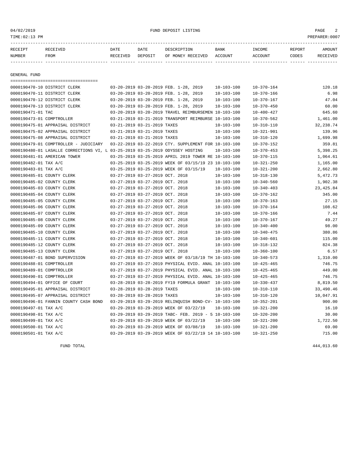04/02/2019 FUND DEPOSIT LISTING PAGE 2

| RECEIPT | RECEIVED | DATE     | DATE    | DESCRIPTION       | <b>BANK</b> | <b>TNCOME</b> | REPORT | AMOUNT          |
|---------|----------|----------|---------|-------------------|-------------|---------------|--------|-----------------|
| NUMBER  | FROM     | RECEIVED | DEPOSIT | OF MONEY RECEIVED | ACCOUNT     | ACCOUNT       | CODES  | <b>RECEIVED</b> |
|         |          |          |         |                   |             |               |        |                 |

GENERAL FUND

|                            | -----------------------------------                                           |                                 |                                                            |                  |                  |            |
|----------------------------|-------------------------------------------------------------------------------|---------------------------------|------------------------------------------------------------|------------------|------------------|------------|
|                            | 0000190470-10 DISTRICT CLERK                                                  |                                 | 03-20-2019 03-20-2019 FEB. 1-28, 2019                      | $10 - 103 - 100$ | $10 - 370 - 164$ | 120.18     |
|                            | 0000190470-11 DISTRICT CLERK                                                  |                                 | 03-20-2019 03-20-2019 FEB. 1-28, 2019                      | $10 - 103 - 100$ | $10 - 370 - 166$ | 6.98       |
|                            | 0000190470-12 DISTRICT CLERK                                                  |                                 | 03-20-2019 03-20-2019 FEB. 1-28, 2019                      | $10 - 103 - 100$ | $10 - 370 - 167$ | 47.04      |
|                            | 0000190470-13 DISTRICT CLERK                                                  |                                 | 03-20-2019 03-20-2019 FEB. 1-28, 2019                      | $10 - 103 - 100$ | $10 - 370 - 450$ | 60.00      |
| 0000190471-01 TAC          |                                                                               |                                 | 03-20-2019 03-20-2019 TRAVEL REIMBURSEMEN 10-103-100       |                  | $10 - 400 - 427$ | 645.60     |
| 0000190473-01 COMPTROLLER  |                                                                               |                                 | 03-21-2019 03-21-2019 TRANSPORT REIMBURSE 10-103-100       |                  | $10 - 370 - 562$ | 1,461.00   |
|                            | 0000190475-01 APPRAISAL DISTRICT                                              | 03-21-2019 03-21-2019 TAXES     |                                                            | $10 - 103 - 100$ | $10 - 310 - 110$ | 32, 238.74 |
|                            | 0000190475-02 APPRAISAL DISTRICT                                              | 03-21-2019 03-21-2019 TAXES     |                                                            | $10 - 103 - 100$ | $10 - 321 - 901$ | 139.96     |
|                            | 0000190475-08 APPRAISAL DISTRICT                                              | 03-21-2019 03-21-2019 TAXES     |                                                            | $10 - 103 - 100$ | $10 - 310 - 120$ | 1,699.98   |
|                            | 0000190479-01 COMPTROLLER - JUDICIARY                                         |                                 | 03-22-2019 03-22-2019 CTY. SUPPLEMENT FOR 10-103-100       |                  | $10 - 370 - 152$ | 359.81     |
|                            | 0000190480-01 LASALLE CORRECTIONS VI, L 03-25-2019 03-25-2019 ODYSSEY HOSTING |                                 |                                                            | $10 - 103 - 100$ | $10 - 370 - 453$ | 5,398.25   |
|                            | 0000190481-01 AMERICAN TOWER                                                  |                                 | 03-25-2019 03-25-2019 APRIL 2019 TOWER RE 10-103-100       |                  | $10 - 370 - 115$ | 1,064.61   |
| 0000190482-01 TAX A/C      |                                                                               |                                 | 03-25-2019 03-25-2019 WEEK OF 03/15/19 23 10-103-100       |                  | $10 - 321 - 250$ | 1,165.00   |
| 0000190483-01 TAX A/C      |                                                                               |                                 | 03-25-2019 03-25-2019 WEEK OF 03/15/19                     | $10 - 103 - 100$ | $10 - 321 - 200$ | 2,662.80   |
| 0000190485-01 COUNTY CLERK |                                                                               | 03-27-2019 03-27-2019 OCT. 2018 |                                                            | $10 - 103 - 100$ | $10 - 318 - 130$ | 5,472.73   |
| 0000190485-02 COUNTY CLERK |                                                                               | 03-27-2019 03-27-2019 OCT. 2018 |                                                            | $10 - 103 - 100$ | $10 - 340 - 560$ | 1,902.38   |
| 0000190485-03 COUNTY CLERK |                                                                               | 03-27-2019 03-27-2019 OCT. 2018 |                                                            | $10 - 103 - 100$ | $10 - 340 - 403$ | 23, 425.84 |
| 0000190485-04 COUNTY CLERK |                                                                               | 03-27-2019 03-27-2019 OCT. 2018 |                                                            | $10 - 103 - 100$ | $10 - 370 - 162$ | 345.00     |
| 0000190485-05 COUNTY CLERK |                                                                               | 03-27-2019 03-27-2019 OCT. 2018 |                                                            | $10 - 103 - 100$ | $10 - 370 - 163$ | 27.15      |
| 0000190485-06 COUNTY CLERK |                                                                               | 03-27-2019 03-27-2019 OCT. 2018 |                                                            | $10 - 103 - 100$ | $10 - 370 - 164$ | 108.62     |
| 0000190485-07 COUNTY CLERK |                                                                               | 03-27-2019 03-27-2019 OCT. 2018 |                                                            | $10 - 103 - 100$ | $10 - 370 - 166$ | 7.44       |
| 0000190485-08 COUNTY CLERK |                                                                               | 03-27-2019 03-27-2019 OCT. 2018 |                                                            | $10 - 103 - 100$ | $10 - 370 - 167$ | 49.27      |
| 0000190485-09 COUNTY CLERK |                                                                               | 03-27-2019 03-27-2019 OCT. 2018 |                                                            | $10 - 103 - 100$ | $10 - 340 - 400$ | 98.00      |
| 0000190485-10 COUNTY CLERK |                                                                               | 03-27-2019 03-27-2019 OCT. 2018 |                                                            | $10 - 103 - 100$ | $10 - 340 - 475$ | 380.86     |
| 0000190485-11 COUNTY CLERK |                                                                               | 03-27-2019 03-27-2019 OCT. 2018 |                                                            | $10 - 103 - 100$ | $10 - 340 - 601$ | 115.00     |
| 0000190485-12 COUNTY CLERK |                                                                               | 03-27-2019 03-27-2019 OCT. 2018 |                                                            | $10 - 103 - 100$ | $10 - 318 - 132$ | 824.38     |
| 0000190485-13 COUNTY CLERK |                                                                               | 03-27-2019 03-27-2019 OCT. 2018 |                                                            | $10 - 103 - 100$ | $10 - 360 - 100$ | 6.57       |
|                            | 0000190487-01 BOND SUPERVISION                                                |                                 | 03-27-2019 03-27-2019 WEEK OF 03/18/19 TH 10-103-100       |                  | $10 - 340 - 573$ | 1,310.00   |
| 0000190488-01 COMPTROLLER  |                                                                               |                                 | 03-27-2019 03-27-2019 PHYSICAL EVID. ANAL 10-103-100       |                  | $10 - 425 - 465$ | 746.75     |
| 0000190489-01 COMPTROLLER  |                                                                               |                                 | 03-27-2019 03-27-2019 PHYSICAL EVID. ANAL 10-103-100       |                  | $10 - 425 - 465$ | 449.00     |
| 0000190490-01 COMPTROLLER  |                                                                               |                                 | 03-27-2019 03-27-2019 PHYSICAL EVID. ANAL 10-103-100       |                  | $10 - 425 - 465$ | 746.75     |
|                            | 0000190494-01 OFFICE OF COURT                                                 |                                 | 03-28-2019 03-28-2019 FY19 FORMULA GRANT 10-103-100        |                  | $10 - 330 - 437$ | 8,819.50   |
|                            | 0000190495-01 APPRAISAL DISTRICT                                              | 03-28-2019 03-28-2019 TAXES     |                                                            | $10 - 103 - 100$ | $10 - 310 - 110$ | 33,490.46  |
|                            | 0000190495-07 APPRAISAL DISTRICT                                              | 03-28-2019 03-28-2019 TAXES     |                                                            | $10 - 103 - 100$ | $10 - 310 - 120$ | 10,047.91  |
|                            | 0000190496-01 FANNIN COUNTY CASH BOND                                         |                                 | 03-29-2019 03-29-2019 RELINOUISH BOND-CV- 10-103-100       |                  | $10 - 352 - 201$ | 900.00     |
| 0000190497-01 TAX A/C      |                                                                               |                                 | 03-29-2019 03-29-2019 WEEK OF 03/22/19                     | $10 - 103 - 100$ | $10 - 321 - 200$ | 16.10      |
| 0000190498-01 TAX A/C      |                                                                               |                                 | $03-29-2019$ $03-29-2019$ TABC- FEB. $2019 - 5$ 10-103-100 |                  | $10 - 320 - 200$ | 30.00      |
| 0000190499-01 TAX A/C      |                                                                               |                                 | 03-29-2019 03-29-2019 WEEK OF 03/22/19                     | $10 - 103 - 100$ | $10 - 321 - 200$ | 1,722.50   |
| 0000190500-01 TAX A/C      |                                                                               |                                 | 03-29-2019 03-29-2019 WEEK OF 03/08/19                     | $10 - 103 - 100$ | $10 - 321 - 200$ | 69.00      |
| 0000190501-01 TAX A/C      |                                                                               |                                 | 03-29-2019 03-29-2019 WEEK OF 03/22/19 14 10-103-100       |                  | $10 - 321 - 250$ | 715.00     |

FUND TOTAL 444,013.60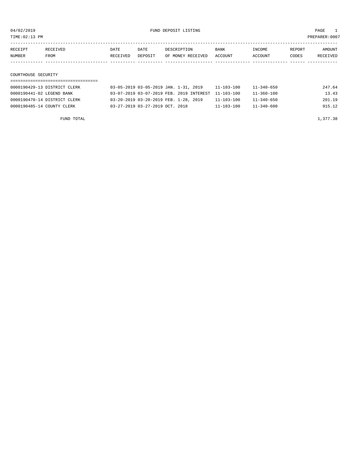TIME:02:13 PM PREPARER:0007

| RECEIPT | RECEIVED            | DATE     | DATE    | DESCRIPTION       | <b>BANK</b> | INCOME  | REPORT | AMOUNT   |  |  |
|---------|---------------------|----------|---------|-------------------|-------------|---------|--------|----------|--|--|
| NUMBER  | FROM                | RECEIVED | DEPOSIT | OF MONEY RECEIVED | ACCOUNT     | ACCOUNT | CODES  | RECEIVED |  |  |
|         |                     |          |         |                   |             |         |        |          |  |  |
|         |                     |          |         |                   |             |         |        |          |  |  |
|         | COURTHOUSE SECURITY |          |         |                   |             |         |        |          |  |  |
|         |                     |          |         |                   |             |         |        |          |  |  |

| 0000190429-13 DISTRICT CLERK | 03-05-2019 03-05-2019 JAN. 1-31, 2019               | $11 - 103 - 100$ | $11 - 340 - 650$ | 247.64 |
|------------------------------|-----------------------------------------------------|------------------|------------------|--------|
| 0000190441-02 LEGEND BANK    | 03-07-2019 03-07-2019 FEB. 2019 INTEREST 11-103-100 |                  | $11 - 360 - 100$ | 13.43  |
| 0000190470-14 DISTRICT CLERK | 03-20-2019 03-20-2019 FEB. 1-28, 2019               | $11 - 103 - 100$ | $11 - 340 - 650$ | 201.19 |
| 0000190485-14 COUNTY CLERK   | 03-27-2019 03-27-2019 OCT. 2018                     | $11 - 103 - 100$ | $11 - 340 - 600$ | 915.12 |

FUND TOTAL  $1,377.38$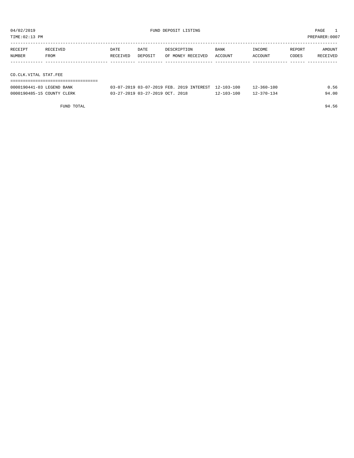| TIME:02:13 PM |                       |          |             |         |                   |         | PREPARER:0007 |        |          |
|---------------|-----------------------|----------|-------------|---------|-------------------|---------|---------------|--------|----------|
|               |                       |          |             |         |                   |         |               |        |          |
|               | RECEIPT               | RECEIVED | <b>DATE</b> | DATE    | DESCRIPTION       | BANK    | INCOME        | REPORT | AMOUNT   |
|               | NUMBER                | FROM     | RECEIVED    | DEPOSIT | OF MONEY RECEIVED | ACCOUNT | ACCOUNT       | CODES  | RECEIVED |
|               |                       |          |             |         |                   |         |               |        |          |
|               |                       |          |             |         |                   |         |               |        |          |
|               | CO.CLK.VITAL STAT.FEE |          |             |         |                   |         |               |        |          |
|               |                       |          |             |         |                   |         |               |        |          |

| 0000190441-03 LEGEND BANK  | 03-07-2019 03-07-2019 FEB. 2019 INTEREST 12-103-100 |                  | $12 - 360 - 100$ | Ა.56  |
|----------------------------|-----------------------------------------------------|------------------|------------------|-------|
| 0000190485-15 COUNTY CLERK | 03-27-2019 03-27-2019 OCT. 2018                     | $12 - 103 - 100$ | 12-370-134       | 94.00 |

FUND TOTAL 94.56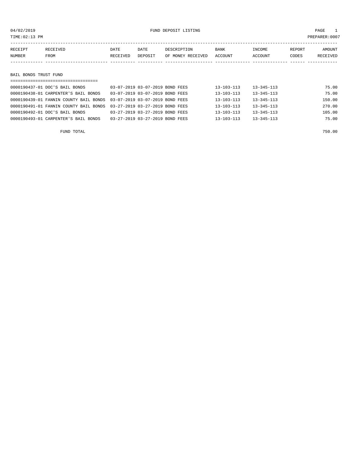## 04/02/2019 FUND DEPOSIT LISTING PAGE 1

| RECEIPT<br>NUMBER     | RECEIVED<br>FROM               | DATE<br>RECEIVED | DATE<br>DEPOSIT                 | DESCRIPTION<br>OF MONEY RECEIVED | <b>BANK</b><br>ACCOUNT | INCOME<br>ACCOUNT | REPORT<br>CODES | AMOUNT<br><b>RECEIVED</b> |
|-----------------------|--------------------------------|------------------|---------------------------------|----------------------------------|------------------------|-------------------|-----------------|---------------------------|
|                       |                                |                  |                                 |                                  |                        |                   |                 |                           |
| BAIL BONDS TRUST FUND |                                |                  |                                 |                                  |                        |                   |                 |                           |
|                       |                                |                  |                                 |                                  |                        |                   |                 |                           |
|                       | 0000190437-01 DOC'S BAIL BONDS |                  | 03-07-2019 03-07-2019 BOND FEES |                                  | $13 - 103 - 113$       | $13 - 345 - 113$  |                 | 75.00                     |

| OUUUISUISITUI DUU S BAIL BUNDS       |                                                                        |                                 | 19-109-119       | -----------      | 79. UU |
|--------------------------------------|------------------------------------------------------------------------|---------------------------------|------------------|------------------|--------|
| 0000190438-01 CARPENTER'S BAIL BONDS |                                                                        | 03-07-2019 03-07-2019 BOND FEES | $13 - 103 - 113$ | $13 - 345 - 113$ | 75.00  |
|                                      | 0000190439-01 FANNIN COUNTY BAIL BONDS 03-07-2019 03-07-2019 BOND FEES |                                 | $13 - 103 - 113$ | $13 - 345 - 113$ | 150.00 |
|                                      | 0000190491-01 FANNIN COUNTY BAIL BONDS 03-27-2019 03-27-2019 BOND FEES |                                 | $13 - 103 - 113$ | $13 - 345 - 113$ | 270.00 |
| 0000190492-01 DOC'S BAIL BONDS       |                                                                        | 03-27-2019 03-27-2019 BOND FEES | $13 - 103 - 113$ | $13 - 345 - 113$ | 105.00 |
| 0000190493-01 CARPENTER'S BAIL BONDS |                                                                        | 03-27-2019 03-27-2019 BOND FEES | $13 - 103 - 113$ | $13 - 345 - 113$ | 75.00  |
|                                      |                                                                        |                                 |                  |                  |        |

FUND TOTAL 750.00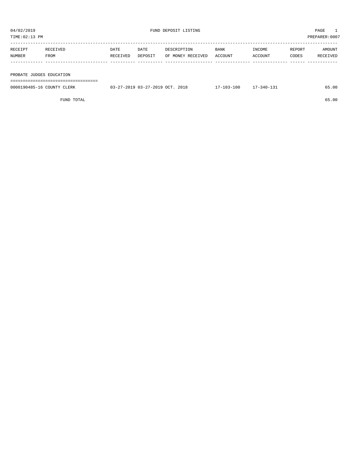| TIME: 02:13 PM           |          |          |         |                   |         |         |        | PREPARER:0007 |
|--------------------------|----------|----------|---------|-------------------|---------|---------|--------|---------------|
|                          |          |          |         |                   |         |         |        |               |
| RECEIPT                  | RECEIVED | DATE     | DATE    | DESCRIPTION       | BANK    | INCOME  | REPORT | AMOUNT        |
| NUMBER                   | FROM     | RECEIVED | DEPOSIT | OF MONEY RECEIVED | ACCOUNT | ACCOUNT | CODES  | RECEIVED      |
|                          |          |          |         |                   |         |         |        |               |
|                          |          |          |         |                   |         |         |        |               |
| PROBATE JUDGES EDUCATION |          |          |         |                   |         |         |        |               |
|                          |          |          |         |                   |         |         |        |               |

| 0000190485-16 COUNTY CLERK | 03-27-2019 03-27-2019 OCT. 2018 | $17 - 103 - 100$ | 17-340-131 | 65.00 |
|----------------------------|---------------------------------|------------------|------------|-------|
|                            |                                 |                  |            |       |

FUND TOTAL 65.00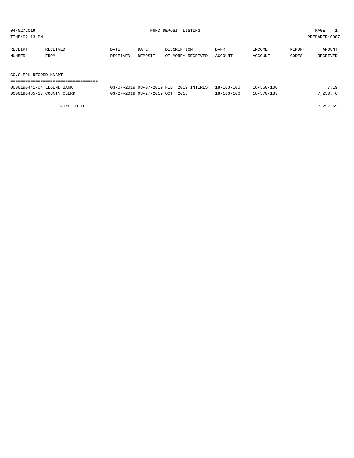| TIME: 02:13 PM    | PREPARER: 0007         |                  |                 |                                  |                 |                   |                 |                    |  |  |  |
|-------------------|------------------------|------------------|-----------------|----------------------------------|-----------------|-------------------|-----------------|--------------------|--|--|--|
| RECEIPT<br>NUMBER | RECEIVED<br>FROM       | DATE<br>RECEIVED | DATE<br>DEPOSIT | DESCRIPTION<br>OF MONEY RECEIVED | BANK<br>ACCOUNT | INCOME<br>ACCOUNT | REPORT<br>CODES | AMOUNT<br>RECEIVED |  |  |  |
|                   |                        |                  |                 |                                  |                 |                   |                 |                    |  |  |  |
|                   | CO.CLERK RECORD MNGMT. |                  |                 |                                  |                 |                   |                 |                    |  |  |  |

| 0000190441-04 LEGEND BANK  | 03-07-2019 03-07-2019 FEB. 2019 INTEREST 18-103-100 |            | $18 - 360 - 100$ | 7.19     |
|----------------------------|-----------------------------------------------------|------------|------------------|----------|
| 0000190485-17 COUNTY CLERK | 03-27-2019 03-27-2019 OCT. 2018                     | 18-103-100 | $18 - 370 - 133$ | 7,250.46 |

FUND TOTAL 7,257.65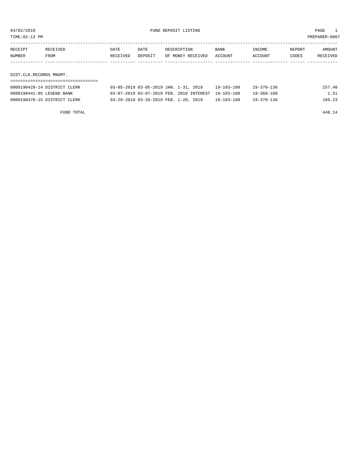TIME:02:13 PM PREPARER:0007

| RECEIPT                 | RECEIVED                     | DATE     | DATE                                  | DESCRIPTION       | <b>BANK</b>    | INCOME     | REPORT | AMOUNT   |
|-------------------------|------------------------------|----------|---------------------------------------|-------------------|----------------|------------|--------|----------|
| NUMBER                  | FROM                         | RECEIVED | DEPOSIT                               | OF MONEY RECEIVED | <b>ACCOUNT</b> | ACCOUNT    | CODES  | RECEIVED |
|                         |                              |          |                                       |                   |                |            |        |          |
|                         |                              |          |                                       |                   |                |            |        |          |
| DIST.CLK.RECORDS MNGMT. |                              |          |                                       |                   |                |            |        |          |
|                         |                              |          |                                       |                   |                |            |        |          |
|                         | 0000190429-14 DISTRICT CLERK |          | 03-05-2019 03-05-2019 JAN. 1-31, 2019 |                   | 19-103-100     | 19-370-136 |        | 257.40   |

0000190441-05 LEGEND BANK 03-07-2019 03-07-2019 FEB. 2019 INTEREST 19-103-100 19-360-100 1.51 0000190470-15 DISTRICT CLERK 03-20-2019 03-20-2019 FEB. 1-28, 2019 19-103-100 19-370-136 189.23

FUND TOTAL 448.14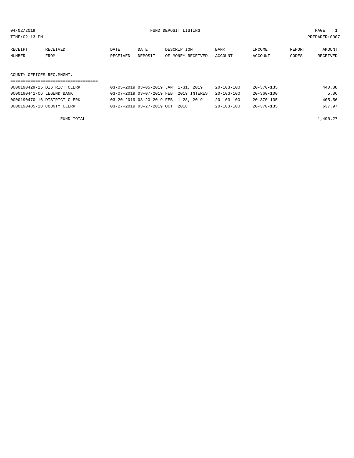TIME:02:13 PM PREPARER:0007

| RECEIPT | RECEIVED | DATE     | DATE    | DESCRIPTION       | BANK    | INCOME  | REPORT | AMOUNT   |
|---------|----------|----------|---------|-------------------|---------|---------|--------|----------|
| NUMBER  | FROM     | RECEIVED | DEPOSIT | OF MONEY RECEIVED | ACCOUNT | ACCOUNT | CODES  | RECEIVED |
|         |          |          |         |                   |         |         |        |          |
|         |          |          |         |                   |         |         |        |          |
|         |          |          |         |                   |         |         |        |          |

# COUNTY OFFICES REC.MNGMT.

| 0000190429-15 DISTRICT CLERK | 03-05-2019 03-05-2019 JAN. 1-31, 2019               | 20-103-100       | 20-370-135       | 440.88 |
|------------------------------|-----------------------------------------------------|------------------|------------------|--------|
| 0000190441-06 LEGEND BANK    | 03-07-2019 03-07-2019 FEB. 2019 INTEREST 20-103-100 |                  | 20-360-100       | 5.86   |
| 0000190470-16 DISTRICT CLERK | 03-20-2019 03-20-2019 FEB. 1-28, 2019               | $20 - 103 - 100$ | $20 - 370 - 135$ | 405.56 |
| 0000190485-18 COUNTY CLERK   | $03 - 27 - 2019$ $03 - 27 - 2019$ $0CT$ . 2018      | $20 - 103 - 100$ | $20 - 370 - 135$ | 637.97 |

FUND TOTAL  $1,490.27$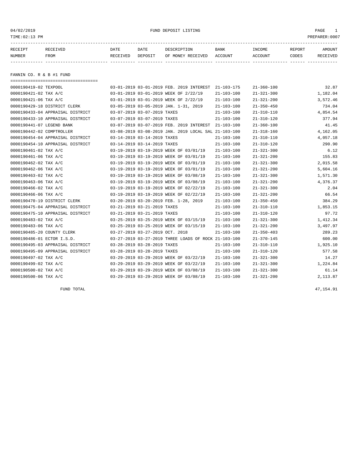04/02/2019 FUND DEPOSIT LISTING PAGE 1

| RECEIPT | <b>RECEIVED</b> | DATE     | DATE    | DESCRIPTION          | <b>BANK</b>    | INCOME  | <b>REPORT</b> | AMOUNT          |
|---------|-----------------|----------|---------|----------------------|----------------|---------|---------------|-----------------|
| NUMBER  | FROM            | RECEIVED | DEPOSIT | RECEIVED<br>OF MONEY | <b>ACCOUNT</b> | ACCOUNT | CODES         | <b>RECEIVED</b> |
|         |                 |          |         |                      |                |         |               |                 |

FANNIN CO. R & B #1 FUND

| ====================================== |                                                      |                  |                  |          |
|----------------------------------------|------------------------------------------------------|------------------|------------------|----------|
| 0000190419-02 TEXPOOL                  | 03-01-2019 03-01-2019 FEB. 2019 INTEREST 21-103-175  |                  | $21 - 360 - 100$ | 32.87    |
| 0000190421-02 TAX A/C                  | 03-01-2019 03-01-2019 WEEK OF 2/22/19                | $21 - 103 - 100$ | $21 - 321 - 300$ | 1,182.04 |
| 0000190421-06 TAX A/C                  | 03-01-2019 03-01-2019 WEEK OF 2/22/19                | $21 - 103 - 100$ | $21 - 321 - 200$ | 3,572.46 |
| 0000190429-18 DISTRICT CLERK           | 03-05-2019 03-05-2019 JAN. 1-31, 2019                | $21 - 103 - 100$ | $21 - 350 - 450$ | 734.04   |
| 0000190433-04 APPRAISAL DISTRICT       | 03-07-2019 03-07-2019 TAXES                          | $21 - 103 - 100$ | $21 - 310 - 110$ | 4,854.54 |
| 0000190433-10 APPRAISAL DISTRICT       | 03-07-2019 03-07-2019 TAXES                          | 21-103-100       | $21 - 310 - 120$ | 377.94   |
| 0000190441-07 LEGEND BANK              | 03-07-2019 03-07-2019 FEB. 2019 INTEREST 21-103-100  |                  | $21 - 360 - 100$ | 41.45    |
| 0000190442-02 COMPTROLLER              | 03-08-2019 03-08-2019 JAN. 2019 LOCAL SAL 21-103-100 |                  | $21 - 318 - 160$ | 4,162.05 |
| 0000190454-04 APPRAISAL DISTRICT       | 03-14-2019 03-14-2019 TAXES                          | $21 - 103 - 100$ | $21 - 310 - 110$ | 4,057.18 |
| 0000190454-10 APPRAISAL DISTRICT       | 03-14-2019 03-14-2019 TAXES                          | $21 - 103 - 100$ | $21 - 310 - 120$ | 290.90   |
| 0000190461-02 TAX A/C                  | 03-19-2019 03-19-2019 WEEK OF 03/01/19               | 21-103-100       | $21 - 321 - 300$ | 6.12     |
| 0000190461-06 TAX A/C                  | 03-19-2019 03-19-2019 WEEK OF 03/01/19               | $21 - 103 - 100$ | $21 - 321 - 200$ | 155.83   |
| 0000190462-02 TAX A/C                  | 03-19-2019 03-19-2019 WEEK OF 03/01/19               | $21 - 103 - 100$ | $21 - 321 - 300$ | 2,015.58 |
| 0000190462-06 TAX A/C                  | 03-19-2019 03-19-2019 WEEK OF 03/01/19               | $21 - 103 - 100$ | $21 - 321 - 200$ | 5,604.16 |
| 0000190463-02 TAX A/C                  | 03-19-2019 03-19-2019 WEEK OF 03/08/19               | $21 - 103 - 100$ | $21 - 321 - 300$ | 1,571.30 |
| 0000190463-06 TAX A/C                  | 03-19-2019 03-19-2019 WEEK OF 03/08/19               | $21 - 103 - 100$ | $21 - 321 - 200$ | 4,376.37 |
| 0000190466-02 TAX A/C                  | 03-19-2019 03-19-2019 WEEK OF 02/22/19               | $21 - 103 - 100$ | $21 - 321 - 300$ | 2.04     |
| 0000190466-06 TAX A/C                  | 03-19-2019 03-19-2019 WEEK OF 02/22/19               | $21 - 103 - 100$ | $21 - 321 - 200$ | 66.54    |
| 0000190470-19 DISTRICT CLERK           | 03-20-2019 03-20-2019 FEB. 1-28, 2019                | 21-103-100       | $21 - 350 - 450$ | 384.29   |
| 0000190475-04 APPRAISAL DISTRICT       | 03-21-2019 03-21-2019 TAXES                          | $21 - 103 - 100$ | $21 - 310 - 110$ | 1,853.15 |
| 0000190475-10 APPRAISAL DISTRICT       | 03-21-2019 03-21-2019 TAXES                          | $21 - 103 - 100$ | $21 - 310 - 120$ | 97.72    |
| 0000190483-02 TAX A/C                  | 03-25-2019 03-25-2019 WEEK OF 03/15/19               | $21 - 103 - 100$ | $21 - 321 - 300$ | 1,412.34 |
| 0000190483-06 TAX A/C                  | 03-25-2019 03-25-2019 WEEK OF 03/15/19               | $21 - 103 - 100$ | $21 - 321 - 200$ | 3,497.97 |
| 0000190485-20 COUNTY CLERK             | 03-27-2019 03-27-2019 OCT. 2018                      | $21 - 103 - 100$ | $21 - 350 - 403$ | 289.23   |
| 0000190486-01 ECTOR I.S.D.             | 03-27-2019 03-27-2019 THREE LOADS OF ROCK 21-103-100 |                  | $21 - 370 - 145$ | 600.00   |
| 0000190495-03 APPRAISAL DISTRICT       | 03-28-2019 03-28-2019 TAXES                          | $21 - 103 - 100$ | $21 - 310 - 110$ | 1,925.10 |
| 0000190495-09 APPRAISAL DISTRICT       | 03-28-2019 03-28-2019 TAXES                          | $21 - 103 - 100$ | $21 - 310 - 120$ | 577.58   |
| 0000190497-02 TAX A/C                  | 03-29-2019 03-29-2019 WEEK OF 03/22/19               | $21 - 103 - 100$ | $21 - 321 - 300$ | 14.27    |
| 0000190499-02 TAX A/C                  | 03-29-2019 03-29-2019 WEEK OF 03/22/19               | 21-103-100       | $21 - 321 - 300$ | 1,224.84 |
| 0000190500-02 TAX A/C                  | 03-29-2019 03-29-2019 WEEK OF 03/08/19               | $21 - 103 - 100$ | $21 - 321 - 300$ | 61.14    |
| 0000190500-06 TAX A/C                  | 03-29-2019 03-29-2019 WEEK OF 03/08/19               | $21 - 103 - 100$ | $21 - 321 - 200$ | 2,113.87 |

FUND TOTAL 47,154.91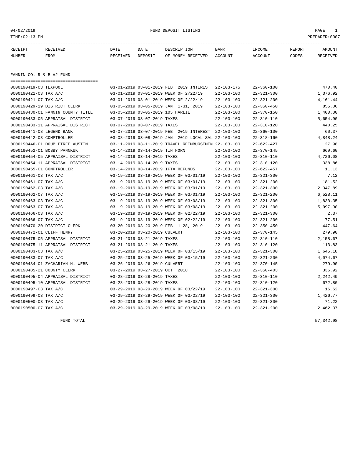04/02/2019 FUND DEPOSIT LISTING PAGE 1

| RECEIPT | <b>RECEIVED</b> | DATE     | DATE    | DESCRIPTION       | <b>BANK</b> | INCOME  | <b>REPORT</b> | AMOUNT          |
|---------|-----------------|----------|---------|-------------------|-------------|---------|---------------|-----------------|
| NUMBER  | FROM            | RECEIVED | DEPOSIT | OF MONEY RECEIVED | ACCOUNT     | ACCOUNT | CODES         | <b>RECEIVED</b> |
|         |                 |          |         |                   |             |         |               |                 |

FANNIN CO. R & B #2 FUND

| ===================================== |                                                      |                  |                  |          |
|---------------------------------------|------------------------------------------------------|------------------|------------------|----------|
| 0000190419-03 TEXPOOL                 | 03-01-2019 03-01-2019 FEB. 2019 INTEREST             | 22-103-175       | $22 - 360 - 100$ | 470.40   |
| 0000190421-03 TAX A/C                 | 03-01-2019 03-01-2019 WEEK OF 2/22/19                | $22 - 103 - 100$ | $22 - 321 - 300$ | 1,376.92 |
| 0000190421-07 TAX A/C                 | 03-01-2019 03-01-2019 WEEK OF 2/22/19                | $22 - 103 - 100$ | $22 - 321 - 200$ | 4,161.44 |
| 0000190429-19 DISTRICT CLERK          | 03-05-2019 03-05-2019 JAN. 1-31, 2019                | $22 - 103 - 100$ | $22 - 350 - 450$ | 855.06   |
| 0000190430-01 FANNIN COUNTY TITLE     | 03-05-2019 03-05-2019 105 HARLIE                     | $22 - 103 - 100$ | $22 - 370 - 150$ | 1,400.00 |
| 0000190433-05 APPRAISAL DISTRICT      | 03-07-2019 03-07-2019 TAXES                          | $22 - 103 - 100$ | $22 - 310 - 110$ | 5,654.90 |
| 0000190433-11 APPRAISAL DISTRICT      | 03-07-2019 03-07-2019 TAXES                          | $22 - 103 - 100$ | $22 - 310 - 120$ | 440.25   |
| 0000190441-08 LEGEND BANK             | 03-07-2019 03-07-2019 FEB. 2019 INTEREST             | 22-103-100       | $22 - 360 - 100$ | 60.37    |
| 0000190442-03 COMPTROLLER             | 03-08-2019 03-08-2019 JAN. 2019 LOCAL SAL 22-103-100 |                  | $22 - 318 - 160$ | 4,848.24 |
| 0000190446-01 DOUBLETREE AUSTIN       | 03-11-2019 03-11-2019 TRAVEL REIMBURSEMEN 22-103-100 |                  | $22 - 622 - 427$ | 27.98    |
| 0000190452-01 BOBBY PANNKUK           | 03-14-2019 03-14-2019 TIN HORN                       | $22 - 103 - 100$ | $22 - 370 - 145$ | 669.60   |
| 0000190454-05 APPRAISAL DISTRICT      | 03-14-2019 03-14-2019 TAXES                          | $22 - 103 - 100$ | $22 - 310 - 110$ | 4,726.08 |
| 0000190454-11 APPRAISAL DISTRICT      | 03-14-2019 03-14-2019 TAXES                          | $22 - 103 - 100$ | $22 - 310 - 120$ | 338.86   |
| 0000190455-01 COMPTROLLER             | 03-14-2019 03-14-2019 IFTA REFUNDS                   | $22 - 103 - 100$ | $22 - 622 - 457$ | 11.13    |
| 0000190461-03 TAX A/C                 | 03-19-2019 03-19-2019 WEEK OF 03/01/19               | $22 - 103 - 100$ | $22 - 321 - 300$ | 7.12     |
| 0000190461-07 TAX A/C                 | 03-19-2019 03-19-2019 WEEK OF 03/01/19               | $22 - 103 - 100$ | $22 - 321 - 200$ | 181.52   |
| 0000190462-03 TAX A/C                 | 03-19-2019 03-19-2019 WEEK OF 03/01/19               | $22 - 103 - 100$ | $22 - 321 - 300$ | 2,347.89 |
| 0000190462-07 TAX A/C                 | 03-19-2019 03-19-2019 WEEK OF 03/01/19               | $22 - 103 - 100$ | $22 - 321 - 200$ | 6,528.11 |
| 0000190463-03 TAX A/C                 | 03-19-2019 03-19-2019 WEEK OF 03/08/19               | $22 - 103 - 100$ | $22 - 321 - 300$ | 1,830.35 |
| 0000190463-07 TAX A/C                 | 03-19-2019 03-19-2019 WEEK OF 03/08/19               | $22 - 103 - 100$ | $22 - 321 - 200$ | 5,097.90 |
| 0000190466-03 TAX A/C                 | 03-19-2019 03-19-2019 WEEK OF 02/22/19               | $22 - 103 - 100$ | $22 - 321 - 300$ | 2.37     |
| 0000190466-07 TAX A/C                 | 03-19-2019 03-19-2019 WEEK OF 02/22/19               | $22 - 103 - 100$ | $22 - 321 - 200$ | 77.51    |
| 0000190470-20 DISTRICT CLERK          | 03-20-2019 03-20-2019 FEB. 1-28, 2019                | $22 - 103 - 100$ | $22 - 350 - 450$ | 447.64   |
| 0000190472-01 CLIFF HENRY             | 03-20-2019 03-20-2019 CULVERT                        | $22 - 103 - 100$ | $22 - 370 - 145$ | 279.90   |
| 0000190475-05 APPRAISAL DISTRICT      | 03-21-2019 03-21-2019 TAXES                          | $22 - 103 - 100$ | $22 - 310 - 110$ | 2,158.67 |
| 0000190475-11 APPRAISAL DISTRICT      | 03-21-2019 03-21-2019 TAXES                          | $22 - 103 - 100$ | $22 - 310 - 120$ | 113.83   |
| 0000190483-03 TAX A/C                 | 03-25-2019 03-25-2019 WEEK OF 03/15/19               | $22 - 103 - 100$ | $22 - 321 - 300$ | 1,645.18 |
| 0000190483-07 TAX A/C                 | 03-25-2019 03-25-2019 WEEK OF 03/15/19               | $22 - 103 - 100$ | $22 - 321 - 200$ | 4,074.67 |
| 0000190484-01 ZACHARIAH H. WEBB       | 03-26-2019 03-26-2019 CULVERT                        | $22 - 103 - 100$ | $22 - 370 - 145$ | 279.90   |
| 0000190485-21 COUNTY CLERK            | 03-27-2019 03-27-2019 OCT. 2018                      | $22 - 103 - 100$ | $22 - 350 - 403$ | 336.92   |
| 0000190495-04 APPRAISAL DISTRICT      | 03-28-2019 03-28-2019 TAXES                          | $22 - 103 - 100$ | $22 - 310 - 110$ | 2,242.49 |
| 0000190495-10 APPRAISAL DISTRICT      | 03-28-2019 03-28-2019 TAXES                          | $22 - 103 - 100$ | $22 - 310 - 120$ | 672.80   |
| 0000190497-03 TAX A/C                 | 03-29-2019 03-29-2019 WEEK OF 03/22/19               | $22 - 103 - 100$ | $22 - 321 - 300$ | 16.62    |
| 0000190499-03 TAX A/C                 | 03-29-2019 03-29-2019 WEEK OF 03/22/19               | $22 - 103 - 100$ | $22 - 321 - 300$ | 1,426.77 |
| 0000190500-03 TAX A/C                 | 03-29-2019 03-29-2019 WEEK OF 03/08/19               | $22 - 103 - 100$ | $22 - 321 - 300$ | 71.22    |
| 0000190500-07 TAX A/C                 | 03-29-2019 03-29-2019 WEEK OF 03/08/19               | $22 - 103 - 100$ | $22 - 321 - 200$ | 2,462.37 |

FUND TOTAL 57,342.98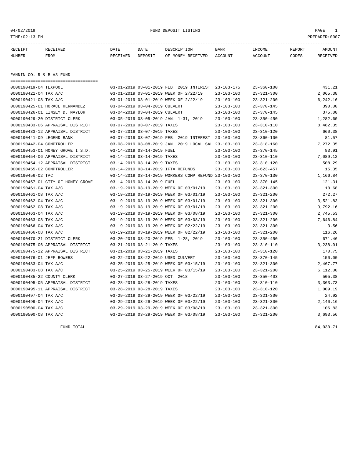04/02/2019 FUND DEPOSIT LISTING PAGE 1

| RECEIPT | <b>RECEIVED</b> | DATE     | DATE    | DESCRIPTION          | <b>BANK</b>    | INCOME  | <b>REPORT</b> | AMOUNT          |
|---------|-----------------|----------|---------|----------------------|----------------|---------|---------------|-----------------|
| NUMBER  | FROM            | RECEIVED | DEPOSIT | RECEIVED<br>OF MONEY | <b>ACCOUNT</b> | ACCOUNT | CODES         | <b>RECEIVED</b> |
|         |                 |          |         |                      |                |         |               |                 |

FANNIN CO. R & B #3 FUND

| ==================================== |                               |                                 |                                                      |                  |                  |          |
|--------------------------------------|-------------------------------|---------------------------------|------------------------------------------------------|------------------|------------------|----------|
| 0000190419-04 TEXPOOL                |                               |                                 | 03-01-2019 03-01-2019 FEB. 2019 INTEREST 23-103-175  |                  | $23 - 360 - 100$ | 431.21   |
| 0000190421-04 TAX A/C                |                               |                                 | 03-01-2019 03-01-2019 WEEK OF 2/22/19                | $23 - 103 - 100$ | $23 - 321 - 300$ | 2,065.38 |
| 0000190421-08 TAX A/C                |                               |                                 | 03-01-2019 03-01-2019 WEEK OF 2/22/19                | $23 - 103 - 100$ | $23 - 321 - 200$ | 6,242.16 |
| 0000190425-01 HORACE HERNANDEZ       | 03-04-2019 03-04-2019 CULVERT |                                 |                                                      | $23 - 103 - 100$ | $23 - 370 - 145$ | 390.00   |
| 0000190426-01 LINSEY D. NAYLOR       | 03-04-2019 03-04-2019 CULVERT |                                 |                                                      | 23-103-100       | $23 - 370 - 145$ | 375.00   |
| 0000190429-20 DISTRICT CLERK         |                               |                                 | 03-05-2019 03-05-2019 JAN. 1-31, 2019                | $23 - 103 - 100$ | $23 - 350 - 450$ | 1,282.60 |
| 0000190433-06 APPRAISAL DISTRICT     |                               | 03-07-2019 03-07-2019 TAXES     |                                                      | $23 - 103 - 100$ | $23 - 310 - 110$ | 8,482.35 |
| 0000190433-12 APPRAISAL DISTRICT     |                               | 03-07-2019 03-07-2019 TAXES     |                                                      | $23 - 103 - 100$ | $23 - 310 - 120$ | 660.38   |
| 0000190441-09 LEGEND BANK            |                               |                                 | 03-07-2019 03-07-2019 FEB. 2019 INTEREST 23-103-100  |                  | $23 - 360 - 100$ | 81.57    |
| 0000190442-04 COMPTROLLER            |                               |                                 | 03-08-2019 03-08-2019 JAN. 2019 LOCAL SAL 23-103-100 |                  | $23 - 318 - 160$ | 7,272.35 |
| 0000190453-01 HONEY GROVE I.S.D.     |                               | 03-14-2019 03-14-2019 FUEL      |                                                      | $23 - 103 - 100$ | $23 - 370 - 145$ | 83.91    |
| 0000190454-06 APPRAISAL DISTRICT     |                               | 03-14-2019 03-14-2019 TAXES     |                                                      | $23 - 103 - 100$ | $23 - 310 - 110$ | 7,089.12 |
| 0000190454-12 APPRAISAL DISTRICT     |                               | 03-14-2019 03-14-2019 TAXES     |                                                      | $23 - 103 - 100$ | $23 - 310 - 120$ | 508.29   |
| 0000190455-02 COMPTROLLER            |                               |                                 | 03-14-2019 03-14-2019 IFTA REFUNDS                   | $23 - 103 - 100$ | $23 - 623 - 457$ | 15.35    |
| 0000190456-02 TAC                    |                               |                                 | 03-14-2019 03-14-2019 WORKERS COMP REFUND 23-103-100 |                  | $23 - 370 - 130$ | 1,166.84 |
| 0000190457-01 CITY OF HONEY GROVE    |                               | 03-14-2019 03-14-2019 FUEL      |                                                      | $23 - 103 - 100$ | $23 - 370 - 145$ | 121.31   |
| 0000190461-04 TAX A/C                |                               |                                 | 03-19-2019 03-19-2019 WEEK OF 03/01/19               | $23 - 103 - 100$ | $23 - 321 - 300$ | 10.68    |
| 0000190461-08 TAX A/C                |                               |                                 | 03-19-2019 03-19-2019 WEEK OF 03/01/19               | $23 - 103 - 100$ | $23 - 321 - 200$ | 272.27   |
| 0000190462-04 TAX A/C                |                               |                                 | 03-19-2019 03-19-2019 WEEK OF 03/01/19               | $23 - 103 - 100$ | $23 - 321 - 300$ | 3,521.83 |
| 0000190462-08 TAX A/C                |                               |                                 | 03-19-2019 03-19-2019 WEEK OF 03/01/19               | $23 - 103 - 100$ | $23 - 321 - 200$ | 9,792.16 |
| 0000190463-04 TAX A/C                |                               |                                 | 03-19-2019 03-19-2019 WEEK OF 03/08/19               | $23 - 103 - 100$ | $23 - 321 - 300$ | 2,745.53 |
| 0000190463-08 TAX A/C                |                               |                                 | 03-19-2019 03-19-2019 WEEK OF 03/08/19               | $23 - 103 - 100$ | $23 - 321 - 200$ | 7,646.84 |
| 0000190466-04 TAX A/C                |                               |                                 | 03-19-2019 03-19-2019 WEEK OF 02/22/19               | $23 - 103 - 100$ | $23 - 321 - 300$ | 3.56     |
| 0000190466-08 TAX A/C                |                               |                                 | 03-19-2019 03-19-2019 WEEK OF 02/22/19               | $23 - 103 - 100$ | $23 - 321 - 200$ | 116.26   |
| 0000190470-21 DISTRICT CLERK         |                               |                                 | 03-20-2019 03-20-2019 FEB. 1-28, 2019                | $23 - 103 - 100$ | $23 - 350 - 450$ | 671.46   |
| 0000190475-06 APPRAISAL DISTRICT     |                               | 03-21-2019 03-21-2019 TAXES     |                                                      | $23 - 103 - 100$ | $23 - 310 - 110$ | 3,238.01 |
| 0000190475-12 APPRAISAL DISTRICT     |                               | 03-21-2019 03-21-2019 TAXES     |                                                      | $23 - 103 - 100$ | $23 - 310 - 120$ | 170.75   |
| 0000190476-01 JEFF BOWERS            |                               |                                 | 03-22-2019 03-22-2019 USED CULVERT                   | $23 - 103 - 100$ | $23 - 370 - 145$ | 150.00   |
| 0000190483-04 TAX A/C                |                               |                                 | 03-25-2019 03-25-2019 WEEK OF 03/15/19               | $23 - 103 - 100$ | $23 - 321 - 300$ | 2,467.77 |
| 0000190483-08 TAX A/C                |                               |                                 | 03-25-2019 03-25-2019 WEEK OF 03/15/19               | $23 - 103 - 100$ | $23 - 321 - 200$ | 6,112.00 |
| 0000190485-22 COUNTY CLERK           |                               | 03-27-2019 03-27-2019 OCT. 2018 |                                                      | $23 - 103 - 100$ | $23 - 350 - 403$ | 505.38   |
| 0000190495-05 APPRAISAL DISTRICT     |                               | 03-28-2019 03-28-2019 TAXES     |                                                      | $23 - 103 - 100$ | $23 - 310 - 110$ | 3,363.73 |
| 0000190495-11 APPRAISAL DISTRICT     |                               | 03-28-2019 03-28-2019 TAXES     |                                                      | $23 - 103 - 100$ | $23 - 310 - 120$ | 1,009.19 |
| 0000190497-04 TAX A/C                |                               |                                 | 03-29-2019 03-29-2019 WEEK OF 03/22/19               | $23 - 103 - 100$ | $23 - 321 - 300$ | 24.92    |
| 0000190499-04 TAX A/C                |                               |                                 | 03-29-2019 03-29-2019 WEEK OF 03/22/19               | $23 - 103 - 100$ | $23 - 321 - 300$ | 2,140.16 |
| 0000190500-04 TAX A/C                |                               |                                 | 03-29-2019 03-29-2019 WEEK OF 03/08/19               | $23 - 103 - 100$ | $23 - 321 - 300$ | 106.83   |
| 0000190500-08 TAX A/C                |                               |                                 | 03-29-2019 03-29-2019 WEEK OF 03/08/19               | $23 - 103 - 100$ | $23 - 321 - 200$ | 3,693.56 |

FUND TOTAL  $84,030.71$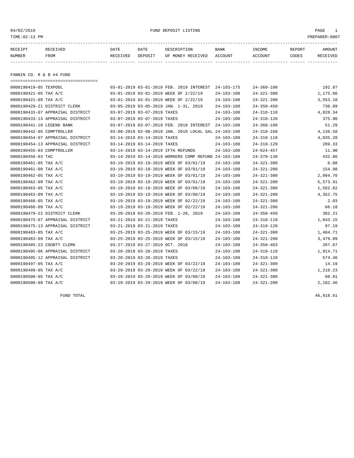04/02/2019 FUND DEPOSIT LISTING PAGE 1

| RECEIPT | <b>RECEIVED</b> | DATE     | DATE    | DESCRIPTION          | <b>BANK</b>    | INCOME  | <b>REPORT</b> | AMOUNT          |
|---------|-----------------|----------|---------|----------------------|----------------|---------|---------------|-----------------|
| NUMBER  | FROM            | RECEIVED | DEPOSIT | RECEIVED<br>OF MONEY | <b>ACCOUNT</b> | ACCOUNT | CODES         | <b>RECEIVED</b> |
|         |                 |          |         |                      |                |         |               |                 |

FANNIN CO. R & B #4 FUND

| ====================================== |                                                      |                  |                  |          |
|----------------------------------------|------------------------------------------------------|------------------|------------------|----------|
| 0000190419-05 TEXPOOL                  | 03-01-2019 03-01-2019 FEB. 2019 INTEREST 24-103-175  |                  | $24 - 360 - 100$ | 192.87   |
| 0000190421-05 TAX A/C                  | 03-01-2019 03-01-2019 WEEK OF 2/22/19                | $24 - 103 - 100$ | $24 - 321 - 300$ | 1,175.66 |
| 0000190421-09 TAX A/C                  | 03-01-2019 03-01-2019 WEEK OF 2/22/19                | $24 - 103 - 100$ | $24 - 321 - 200$ | 3,553.18 |
| 0000190429-21 DISTRICT CLERK           | 03-05-2019 03-05-2019 JAN. 1-31, 2019                | $24 - 103 - 100$ | $24 - 350 - 450$ | 730.09   |
| 0000190433-07 APPRAISAL DISTRICT       | 03-07-2019 03-07-2019 TAXES                          | $24 - 103 - 100$ | $24 - 310 - 110$ | 4,828.34 |
| 0000190433-13 APPRAISAL DISTRICT       | 03-07-2019 03-07-2019 TAXES                          | $24 - 103 - 100$ | $24 - 310 - 120$ | 375.90   |
| 0000190441-10 LEGEND BANK              | 03-07-2019 03-07-2019 FEB. 2019 INTEREST 24-103-100  |                  | $24 - 360 - 100$ | 51.29    |
| 0000190442-05 COMPTROLLER              | 03-08-2019 03-08-2019 JAN. 2019 LOCAL SAL 24-103-100 |                  | $24 - 318 - 160$ | 4,139.58 |
| 0000190454-07 APPRAISAL DISTRICT       | 03-14-2019 03-14-2019 TAXES                          | $24 - 103 - 100$ | $24 - 310 - 110$ | 4,035.28 |
| 0000190454-13 APPRAISAL DISTRICT       | 03-14-2019 03-14-2019 TAXES                          | $24 - 103 - 100$ | $24 - 310 - 120$ | 289.33   |
| 0000190455-03 COMPTROLLER              | 03-14-2019 03-14-2019 IFTA REFUNDS                   | $24 - 103 - 100$ | $24 - 624 - 457$ | 11.90    |
| 0000190456-03 TAC                      | 03-14-2019 03-14-2019 WORKERS COMP REFUND 24-103-100 |                  | $24 - 370 - 130$ | 432.86   |
| 0000190461-05 TAX A/C                  | 03-19-2019 03-19-2019 WEEK OF 03/01/19               | $24 - 103 - 100$ | $24 - 321 - 300$ | 6.08     |
| 0000190461-09 TAX A/C                  | 03-19-2019 03-19-2019 WEEK OF 03/01/19               | $24 - 103 - 100$ | $24 - 321 - 200$ | 154.98   |
| 0000190462-05 TAX A/C                  | 03-19-2019 03-19-2019 WEEK OF 03/01/19               | $24 - 103 - 100$ | $24 - 321 - 300$ | 2,004.70 |
| 0000190462-09 TAX A/C                  | 03-19-2019 03-19-2019 WEEK OF 03/01/19               | $24 - 103 - 100$ | $24 - 321 - 200$ | 5,573.91 |
| 0000190463-05 TAX A/C                  | 03-19-2019 03-19-2019 WEEK OF 03/08/19               | $24 - 103 - 100$ | $24 - 321 - 300$ | 1,562.82 |
| 0000190463-09 TAX A/C                  | 03-19-2019 03-19-2019 WEEK OF 03/08/19               | $24 - 103 - 100$ | $24 - 321 - 200$ | 4,352.75 |
| 0000190466-05 TAX A/C                  | 03-19-2019 03-19-2019 WEEK OF 02/22/19               | $24 - 103 - 100$ | $24 - 321 - 300$ | 2.03     |
| 0000190466-09 TAX A/C                  | 03-19-2019 03-19-2019 WEEK OF 02/22/19               | $24 - 103 - 100$ | $24 - 321 - 200$ | 66.18    |
| 0000190470-22 DISTRICT CLERK           | 03-20-2019 03-20-2019 FEB. 1-28, 2019                | $24 - 103 - 100$ | $24 - 350 - 450$ | 382.21   |
| 0000190475-07 APPRAISAL DISTRICT       | 03-21-2019 03-21-2019 TAXES                          | $24 - 103 - 100$ | $24 - 310 - 110$ | 1,843.15 |
| 0000190475-13 APPRAISAL DISTRICT       | 03-21-2019 03-21-2019 TAXES                          | $24 - 103 - 100$ | $24 - 310 - 120$ | 97.19    |
| 0000190483-05 TAX A/C                  | 03-25-2019 03-25-2019 WEEK OF 03/15/19               | $24 - 103 - 100$ | $24 - 321 - 300$ | 1,404.71 |
| 0000190483-09 TAX A/C                  | 03-25-2019 03-25-2019 WEEK OF 03/15/19               | $24 - 103 - 100$ | $24 - 321 - 200$ | 3,479.09 |
| 0000190485-23 COUNTY CLERK             | 03-27-2019 03-27-2019 OCT. 2018                      | $24 - 103 - 100$ | $24 - 350 - 403$ | 287.67   |
| 0000190495-06 APPRAISAL DISTRICT       | 03-28-2019 03-28-2019 TAXES                          | $24 - 103 - 100$ | $24 - 310 - 110$ | 1,914.71 |
| 0000190495-12 APPRAISAL DISTRICT       | 03-28-2019 03-28-2019 TAXES                          | $24 - 103 - 100$ | $24 - 310 - 120$ | 574.46   |
| 0000190497-05 TAX A/C                  | 03-29-2019 03-29-2019 WEEK OF 03/22/19               | $24 - 103 - 100$ | $24 - 321 - 300$ | 14.19    |
| 0000190499-05 TAX A/C                  | 03-29-2019 03-29-2019 WEEK OF 03/22/19               | 24-103-100       | $24 - 321 - 300$ | 1,218.23 |
| 0000190500-05 TAX A/C                  | 03-29-2019 03-29-2019 WEEK OF 03/08/19               | $24 - 103 - 100$ | $24 - 321 - 300$ | 60.81    |
| 0000190500-09 TAX A/C                  | 03-29-2019 03-29-2019 WEEK OF 03/08/19               | $24 - 103 - 100$ | $24 - 321 - 200$ | 2,102.46 |

FUND TOTAL 46,918.61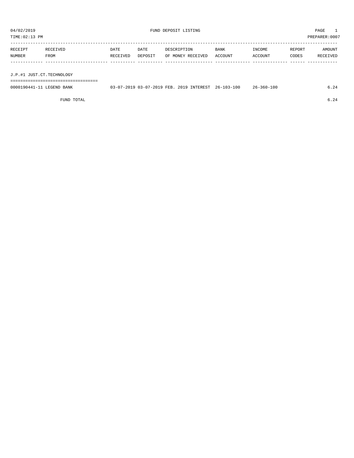TIME:02:13 PM PREPARER:0007 -----------------------------------------------------------------------------------------------------------------------------------

| RECEIPT | <b>RECEIVED</b> | DATE            | DATE    | DESCRIPTION       | <b>BANK</b> | INCOME  | REPORT | AMOUNT          |
|---------|-----------------|-----------------|---------|-------------------|-------------|---------|--------|-----------------|
| NUMBER  | FROM            | <b>RECEIVED</b> | DEPOSIT | OF MONEY RECEIVED | ACCOUNT     | ACCOUNT | CODES  | <b>RECEIVED</b> |
|         |                 |                 |         |                   |             |         |        |                 |
|         |                 |                 |         |                   |             |         |        |                 |

J.P.#1 JUST.CT.TECHNOLOGY

===================================

| 0000190441-11 LEGEND BANK | 03-07-2019 03-07-2019 FEB. 2019 INTEREST 26-103-100 |  | $26 - 360 - 100$ | - 24 |
|---------------------------|-----------------------------------------------------|--|------------------|------|
|                           |                                                     |  |                  |      |

FUND TOTAL  $6.24$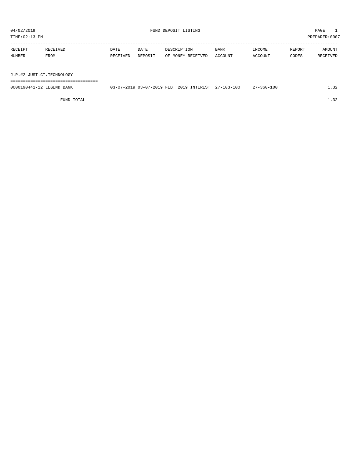| TIME: 02:13 PM |                           |          |         |                   |             | PREPARER:0007 |        |          |
|----------------|---------------------------|----------|---------|-------------------|-------------|---------------|--------|----------|
| RECEIPT        | RECEIVED                  | DATE     | DATE    | DESCRIPTION       | <b>BANK</b> | INCOME        | REPORT | AMOUNT   |
| NUMBER         | FROM                      | RECEIVED | DEPOSIT | OF MONEY RECEIVED | ACCOUNT     | ACCOUNT       | CODES  | RECEIVED |
|                |                           |          |         |                   |             |               |        |          |
|                |                           |          |         |                   |             |               |        |          |
|                | J.P.#2 JUST.CT.TECHNOLOGY |          |         |                   |             |               |        |          |
|                |                           |          |         |                   |             |               |        |          |

| 0000190441-12<br>LEGEND BANK | $-2019$ 03-07-2019 FEB. 2<br>$\sim$ | $27 - 103 - 100$<br>2019 INTEREST | :7-360-100 | $\sim$ $\sim$ |
|------------------------------|-------------------------------------|-----------------------------------|------------|---------------|
|                              |                                     |                                   |            |               |

FUND TOTAL  $1.32$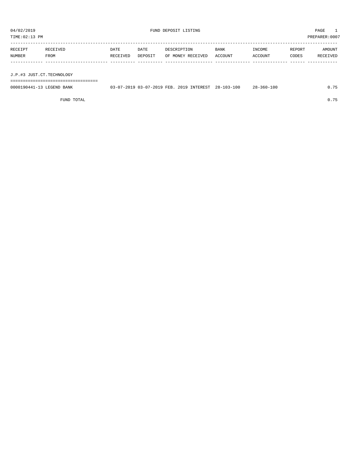TIME:02:13 PM PREPARER:0007 -----------------------------------------------------------------------------------------------------------------------------------

| RECEIPT | <b>RECEIVED</b> | DATE     | DATE    | DESCRIPTION               | <b>BANK</b> | <b>INCOME</b>  | REPORT | AMOUNT   |
|---------|-----------------|----------|---------|---------------------------|-------------|----------------|--------|----------|
| NUMBER  | FROM            | RECEIVED | DEPOSIT | OF MONEY RECEIVED ACCOUNT |             | <b>ACCOUNT</b> | CODES  | RECEIVED |
|         |                 |          |         |                           |             |                |        |          |
|         |                 |          |         |                           |             |                |        |          |

J.P.#3 JUST.CT.TECHNOLOGY

===================================

| 0000190441-13 LEGEND BANK | 03-07-2019 03-07-2019 FEB. 2019 INTEREST 28-103-100 |  | $28 - 360 - 100$ | 0.75 |
|---------------------------|-----------------------------------------------------|--|------------------|------|
|                           |                                                     |  |                  |      |

FUND TOTAL 0.75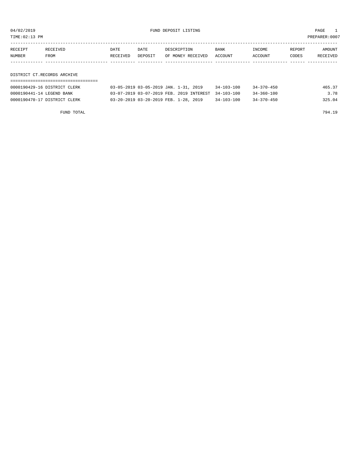TIME:02:13 PM PREPARER:0007

| RECEIPT                     | RECEIVED | DATE     | DATE    | DESCRIPTION       | <b>BANK</b> | INCOME  | REPORT | AMOUNT   |  |
|-----------------------------|----------|----------|---------|-------------------|-------------|---------|--------|----------|--|
| NUMBER                      | FROM     | RECEIVED | DEPOSIT | OF MONEY RECEIVED | ACCOUNT     | ACCOUNT | CODES  | RECEIVED |  |
|                             |          |          |         |                   |             |         |        |          |  |
|                             |          |          |         |                   |             |         |        |          |  |
| DISTRICT CT.RECORDS ARCHIVE |          |          |         |                   |             |         |        |          |  |
|                             |          |          |         |                   |             |         |        |          |  |

| 0000190429-16 DISTRICT CLERK | 03-05-2019 03-05-2019 JAN. 1-31, 2019               | 34-103-100       | $34 - 370 - 450$ | 465.37 |
|------------------------------|-----------------------------------------------------|------------------|------------------|--------|
| 0000190441-14 LEGEND BANK    | 03-07-2019 03-07-2019 FEB. 2019 INTEREST 34-103-100 |                  | $34 - 360 - 100$ | 3.78   |
| 0000190470-17 DISTRICT CLERK | 03-20-2019 03-20-2019 FEB. 1-28, 2019               | $34 - 103 - 100$ | $34 - 370 - 450$ | 325.04 |

FUND TOTAL 794.19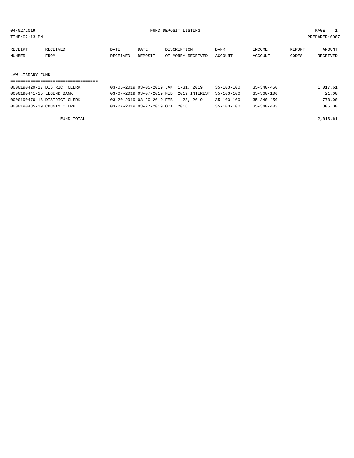TIME:02:13 PM PREPARER:0007

| RECEIPT | RECEIVED         | DATE     | DATE    | DESCRIPTION       | <b>BANK</b> | INCOME  | REPORT | AMOUNT   |
|---------|------------------|----------|---------|-------------------|-------------|---------|--------|----------|
| NUMBER  | FROM             | RECEIVED | DEPOSIT | OF MONEY RECEIVED | ACCOUNT     | ACCOUNT | CODES  | RECEIVED |
|         |                  |          |         |                   |             |         |        |          |
|         |                  |          |         |                   |             |         |        |          |
|         | LAW LIBRARY FUND |          |         |                   |             |         |        |          |
|         |                  |          |         |                   |             |         |        |          |

| 0000190429-17 DISTRICT CLERK | 03-05-2019 03-05-2019 JAN. 1-31, 2019               | $35 - 103 - 100$ | $35 - 340 - 450$ | 1,017.61 |
|------------------------------|-----------------------------------------------------|------------------|------------------|----------|
| 0000190441-15 LEGEND BANK    | 03-07-2019 03-07-2019 FEB. 2019 INTEREST 35-103-100 |                  | 35-360-100       | 21.00    |
| 0000190470-18 DISTRICT CLERK | 03-20-2019 03-20-2019 FEB. 1-28, 2019               | $35 - 103 - 100$ | $35 - 340 - 450$ | 770.00   |
| 0000190485-19 COUNTY CLERK   | 03-27-2019 03-27-2019 OCT. 2018                     | $35 - 103 - 100$ | $35 - 340 - 403$ | 805.00   |

FUND TOTAL  $2,613.61$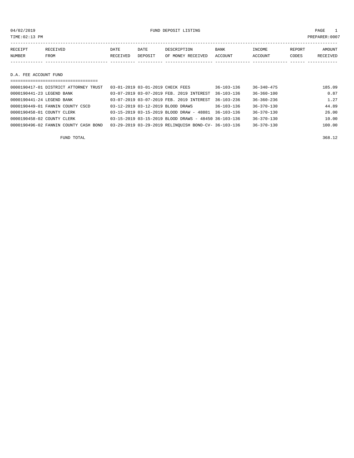04/02/2019 FUND DEPOSIT LISTING PAGE 1

| RECEIPT | RECEIVED | DATE     | DATE    | DESCRIPTION       | <b>BANK</b> | INCOME         | REPORT | AMOUNT   |
|---------|----------|----------|---------|-------------------|-------------|----------------|--------|----------|
| NUMBER  | FROM     | RECEIVED | DEPOSIT | OF MONEY RECEIVED | ACCOUNT     | <b>ACCOUNT</b> | CODES  | RECEIVED |
|         |          |          |         |                   |             |                |        |          |

#### D.A. FEE ACCOUNT FUND

| ===================================== |                                                      |                  |                  |        |
|---------------------------------------|------------------------------------------------------|------------------|------------------|--------|
| 0000190417-01 DISTRICT ATTORNEY TRUST | 03-01-2019 03-01-2019 CHECK FEES                     | $36 - 103 - 136$ | $36 - 340 - 475$ | 185.09 |
| 0000190441-23 LEGEND BANK             | 03-07-2019 03-07-2019 FEB. 2019 INTEREST             | $36 - 103 - 136$ | $36 - 360 - 100$ | 0.87   |
| 0000190441-24 LEGEND BANK             | 03-07-2019 03-07-2019 FEB. 2019 INTEREST             | $36 - 103 - 236$ | $36 - 360 - 236$ | 1.27   |
| 0000190449-01 FANNIN COUNTY CSCD      | 03-12-2019 03-12-2019 BLOOD DRAWS                    | $36 - 103 - 136$ | $36 - 370 - 130$ | 44.89  |
| 0000190458-01 COUNTY CLERK            | 03-15-2019 03-15-2019 BLOOD DRAW - 48881             | $36 - 103 - 136$ | $36 - 370 - 130$ | 26.00  |
| 0000190458-02 COUNTY CLERK            | 03-15-2019 03-15-2019 BLOOD DRAWS - 48450 36-103-136 |                  | $36 - 370 - 130$ | 10.00  |
| 0000190496-02 FANNIN COUNTY CASH BOND | 03-29-2019 03-29-2019 RELINOUISH BOND-CV- 36-103-136 |                  | $36 - 370 - 130$ | 100.00 |

FUND TOTAL 368.12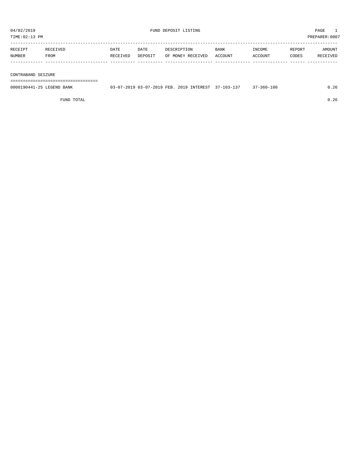TIME:02:13 PM PREPARER:0007 ----------------------------------------------------------------------------------------------------------------------------------- RECEIPT RECEIVED DATE DATE DESCRIPTION BANK INCOME REPORT AMOUNT

| NUMBER  | FROM     | RECEIVED | DEPOSIT | OF MONEY RECEIVED | ACCOUNT | ACCOUNT | CODES   | <b>RECEIVED</b> |
|---------|----------|----------|---------|-------------------|---------|---------|---------|-----------------|
| KECETP. | . ETAEP. | DA I E   | JA I E  | DESCRIPTION       | BANK    | TMCOME  | KEPOK.I | AMOUNT          |

#### CONTRABAND SEIZURE

===================================

| 0000190441-25 LEGEND BANK | 03-07-2019 03-07-2019 FEB. 2019 INTEREST 37-103-137 |  | $37 - 360 - 100$ |  |
|---------------------------|-----------------------------------------------------|--|------------------|--|
|                           |                                                     |  |                  |  |

FUND TOTAL 0.26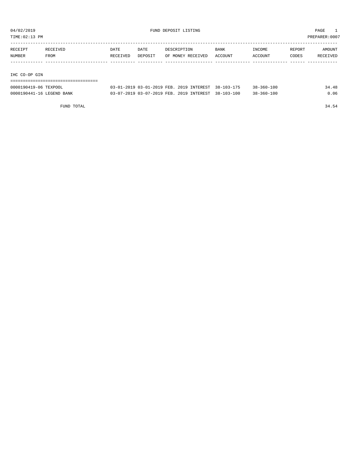TIME:02:13 PM PREPARER:0007

| RECEIPT       | RECEIVED | DATE     | DATE    | DESCRIPTION       | <b>BANK</b> | INCOME  | REPORT | AMOUNT   |
|---------------|----------|----------|---------|-------------------|-------------|---------|--------|----------|
| NUMBER        | FROM     | RECEIVED | DEPOSIT | OF MONEY RECEIVED | ACCOUNT     | ACCOUNT | CODES  | RECEIVED |
|               |          |          |         |                   |             |         |        |          |
|               |          |          |         |                   |             |         |        |          |
| IHC CO-OP GIN |          |          |         |                   |             |         |        |          |

===================================

| 0000190419-06 TEXPOOL     | 03-01-2019 03-01-2019 FEB. 2019 INTEREST 38-103-175 |  | $38 - 360 - 100$ | 34.48 |
|---------------------------|-----------------------------------------------------|--|------------------|-------|
| 0000190441-16 LEGEND BANK | 03-07-2019 03-07-2019 FEB. 2019 INTEREST 38-103-100 |  | $38 - 360 - 100$ | 0.06  |

FUND TOTAL 34.54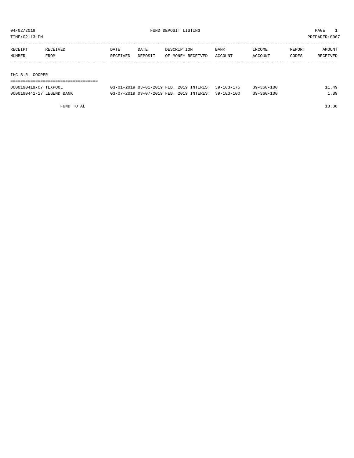TIME:02:13 PM PREPARER:0007

| RECEIPT         | RECEIVED | <b>DATE</b> | DATE    | DESCRIPTION       | BANK    | INCOME  | REPORT | AMOUNT   |
|-----------------|----------|-------------|---------|-------------------|---------|---------|--------|----------|
| NUMBER          | FROM     | RECEIVED    | DEPOSIT | OF MONEY RECEIVED | ACCOUNT | ACCOUNT | CODES  | RECEIVED |
|                 |          |             |         |                   |         |         |        |          |
|                 |          |             |         |                   |         |         |        |          |
| IHC B.R. COOPER |          |             |         |                   |         |         |        |          |
|                 |          |             |         |                   |         |         |        |          |

| 0000190419-07<br>TEXPOOL  | 03-01-2019 03-01-2019 FEB. 2019 INTEREST 39-103-175 |                  | $39 - 360 - 100$ | 49  |
|---------------------------|-----------------------------------------------------|------------------|------------------|-----|
| 0000190441-17 LEGEND BANK | 03-07-2019 03-07-2019 FEB. 2019 INTEREST            | $39 - 103 - 100$ | $39 - 360 - 100$ | .89 |

FUND TOTAL 13.38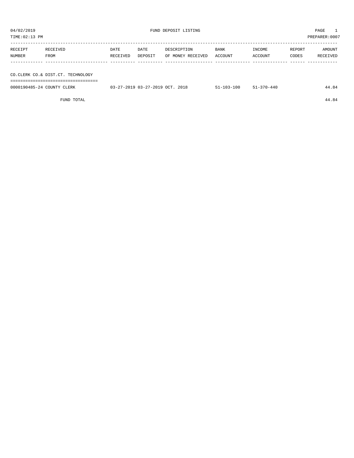TIME:02:13 PM PREPARER:0007 ----------------------------------------------------------------------------------------------------------------------------------- RECEIPT RECEIVED DATE DATE DESCRIPTION BANK INCOME REPORT AMOUNT NUMBER FROM RECEIVED DEPOSIT OF MONEY RECEIVED ACCOUNT ACCOUNT CODES RECEIVED ------------- ------------------------- ---------- ---------- ------------------- -------------- -------------- ------ ------------

CO.CLERK CO.& DIST.CT. TECHNOLOGY

===================================

| 0000190485-24 COUNTY CLERK | 03-27-2019 03-27-2019 OCT. 2018 | 51-103-100 | $51 - 370 - 440$ | 44.84 |
|----------------------------|---------------------------------|------------|------------------|-------|
|                            |                                 |            |                  |       |

FUND TOTAL 44.84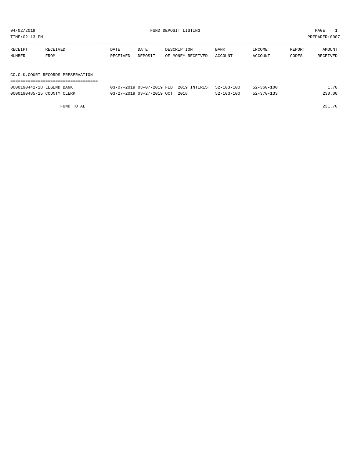| 04/02/2019<br>FUND DEPOSIT LISTING<br>TIME: 02:13 PM |                                     |                  |                           |                                  |                 |                                 |                 | PAGE<br>PREPARER: 0007 |
|------------------------------------------------------|-------------------------------------|------------------|---------------------------|----------------------------------|-----------------|---------------------------------|-----------------|------------------------|
| RECEIPT<br><b>NUMBER</b>                             | RECEIVED<br>FROM                    | DATE<br>RECEIVED | DATE<br>DEPOSIT           | DESCRIPTION<br>OF MONEY RECEIVED | BANK<br>ACCOUNT | <b>TNCOME</b><br>ACCOUNT        | REPORT<br>CODES | AMOUNT<br>RECEIVED     |
| COOCLOCATE 10 I DOUND DANIE                          | CO. CLK. COURT RECORDS PRESERVATION |                  | 03.07.3010.03.07.3010.555 | 3010 TNURREAD EQ 102 100         |                 | $F_2$ $\sim$ $F_1$ $\sim$ $F_2$ |                 | 70                     |

| 0000190441-18 LEGEND BANK  |  |                                 | 03-07-2019 03-07-2019 FEB. 2019 INTEREST 52-103-100 |                  | $52 - 360 - 100$ | 1.70   |
|----------------------------|--|---------------------------------|-----------------------------------------------------|------------------|------------------|--------|
| 0000190485-25 COUNTY CLERK |  | 03-27-2019 03-27-2019 OCT. 2018 |                                                     | $52 - 103 - 100$ | $52 - 370 - 133$ | 230.00 |

FUND TOTAL 231.70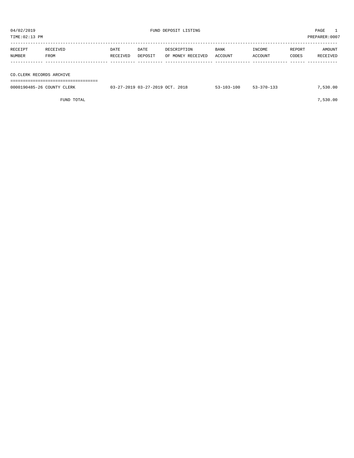| TIME:02:13 PM            |                  |                  |                 |                                  |                 |                   |                 | PREPARER:0007      |  |  |
|--------------------------|------------------|------------------|-----------------|----------------------------------|-----------------|-------------------|-----------------|--------------------|--|--|
| RECEIPT<br>NUMBER        | RECEIVED<br>FROM | DATE<br>RECEIVED | DATE<br>DEPOSIT | DESCRIPTION<br>OF MONEY RECEIVED | BANK<br>ACCOUNT | INCOME<br>ACCOUNT | REPORT<br>CODES | AMOUNT<br>RECEIVED |  |  |
|                          |                  |                  |                 |                                  |                 |                   |                 |                    |  |  |
| CO.CLERK RECORDS ARCHIVE |                  |                  |                 |                                  |                 |                   |                 |                    |  |  |
|                          |                  |                  |                 |                                  |                 |                   |                 |                    |  |  |

| 0000190485-26 COUNTY CLERK | 2018<br>$03 - 27 - 2019$ $03 - 27 - 2019$ OCT. | 53-103-100 | 53-370-133 | 530.00. |
|----------------------------|------------------------------------------------|------------|------------|---------|
|                            |                                                |            |            |         |

FUND TOTAL  $7,530.00$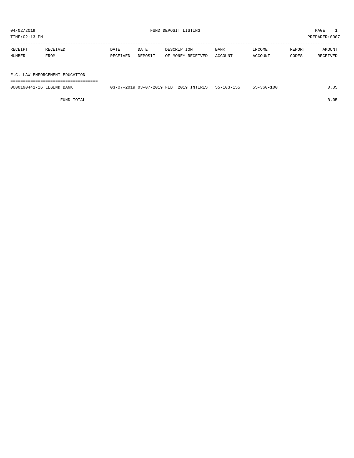TIME:02:13 PM PREPARER:0007

| RECEIPT | RECEIVED | DATE     | DATE    | DESCRIPTION       | <b>BANK</b> | INCOME  | REPORT | AMOUNT   |
|---------|----------|----------|---------|-------------------|-------------|---------|--------|----------|
| NUMBER  | FROM     | RECEIVED | DEPOSIT | OF MONEY RECEIVED | ACCOUNT     | ACCOUNT | CODES  | RECEIVED |
|         |          |          |         |                   |             |         |        |          |
|         |          |          |         |                   |             |         |        |          |

## F.C. LAW ENFORCEMENT EDUCATION

===================================

| 0000190441-26 LEGEND BANK | 03-07-2019 03-07-2019 FEB. 2019 INTEREST 55-103-155 |  | $55 - 360 - 100$ | J.O5 |
|---------------------------|-----------------------------------------------------|--|------------------|------|
|                           |                                                     |  |                  |      |

FUND TOTAL 0.05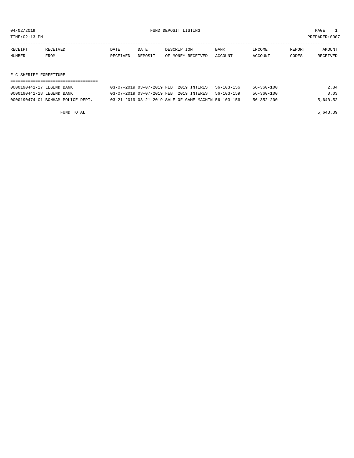TIME:02:13 PM PREPARER:0007

| RECEIPT | RECEIVED | DATE     | DATE    | DESCRIPTION       | <b>BANK</b> | INCOME  | REPORT | AMOUNT   |
|---------|----------|----------|---------|-------------------|-------------|---------|--------|----------|
| NUMBER  | FROM     | RECEIVED | DEPOSIT | OF MONEY RECEIVED | ACCOUNT     | ACCOUNT | CODES  | RECEIVED |
|         |          |          |         |                   |             |         |        |          |

# F C SHERIFF FORFEITURE

| 0000190441-27 LEGEND BANK         | 03-07-2019 03-07-2019 FEB. 2019 INTEREST 56-103-156  |  | $56 - 360 - 100$ | 2.84     |
|-----------------------------------|------------------------------------------------------|--|------------------|----------|
| 0000190441-28 LEGEND BANK         | 03-07-2019 03-07-2019 FEB. 2019 INTEREST 56-103-159  |  | $56 - 360 - 100$ | 0.03     |
| 0000190474-01 BONHAM POLICE DEPT. | 03-21-2019 03-21-2019 SALE OF GAME MACHIN 56-103-156 |  | $56 - 352 - 200$ | 5,640.52 |

FUND TOTAL 5,643.39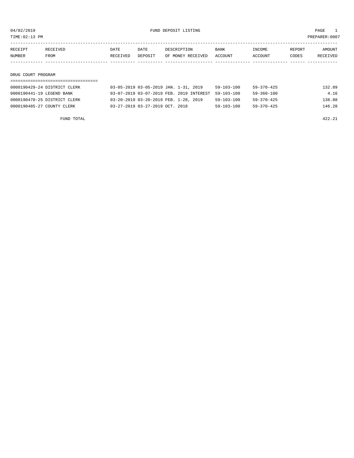TIME:02:13 PM PREPARER:0007

| RECEIPT            | RECEIVED | DATE     | DATE    | DESCRIPTION       | <b>BANK</b> | INCOME  | REPORT | AMOUNT   |
|--------------------|----------|----------|---------|-------------------|-------------|---------|--------|----------|
| NUMBER             | FROM     | RECEIVED | DEPOSIT | OF MONEY RECEIVED | ACCOUNT     | ACCOUNT | CODES  | RECEIVED |
|                    |          |          |         |                   |             |         |        |          |
|                    |          |          |         |                   |             |         |        |          |
| DRUG COURT PROGRAM |          |          |         |                   |             |         |        |          |
|                    |          |          |         |                   |             |         |        |          |

| 0000190429-24 DISTRICT CLERK | 03-05-2019 03-05-2019 JAN. 1-31, 2019               | 59-103-100       | 59-370-425       | 132.89 |
|------------------------------|-----------------------------------------------------|------------------|------------------|--------|
| 0000190441-19 LEGEND BANK    | 03-07-2019 03-07-2019 FEB. 2019 INTEREST 59-103-100 |                  | 59-360-100       | 4.16   |
| 0000190470-25 DISTRICT CLERK | 03-20-2019 03-20-2019 FEB. 1-28, 2019               | 59-103-100       | 59-370-425       | 138.88 |
| 0000190485-27 COUNTY CLERK   | 03-27-2019 03-27-2019 OCT. 2018                     | $59 - 103 - 100$ | $59 - 370 - 425$ | 146.28 |

FUND TOTAL 422.21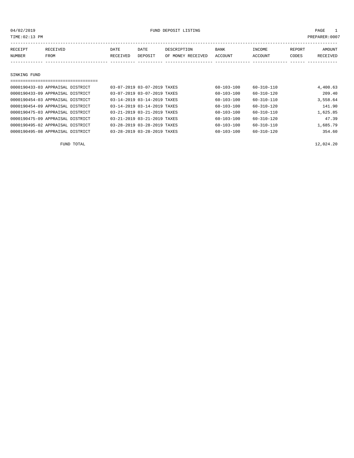| 04/02/2019<br>FUND DEPOSIT LISTING |                                     |          |                             |                   |                  | PAGE             |        |                |
|------------------------------------|-------------------------------------|----------|-----------------------------|-------------------|------------------|------------------|--------|----------------|
| TIME: 02:13 PM                     |                                     |          |                             |                   |                  |                  |        | PREPARER: 0007 |
|                                    |                                     |          |                             |                   |                  |                  |        |                |
| RECEIPT                            | RECEIVED                            | DATE     | DATE                        | DESCRIPTION       | BANK             | INCOME           | REPORT | AMOUNT         |
| <b>NUMBER</b>                      | FROM                                | RECEIVED | DEPOSIT                     | OF MONEY RECEIVED | ACCOUNT          | ACCOUNT          | CODES  | RECEIVED       |
|                                    |                                     |          |                             |                   |                  |                  |        |                |
|                                    |                                     |          |                             |                   |                  |                  |        |                |
| SINKING FUND                       |                                     |          |                             |                   |                  |                  |        |                |
|                                    | ----------------------------------- |          |                             |                   |                  |                  |        |                |
|                                    | 0000190433-03 APPRAISAL DISTRICT    |          | 03-07-2019 03-07-2019 TAXES |                   | 60-103-100       | 60-310-110       |        | 4,400.63       |
|                                    | 0000190433-09 APPRAISAL DISTRICT    |          | 03-07-2019 03-07-2019 TAXES |                   | $60 - 103 - 100$ | 60-310-120       |        | 209.40         |
|                                    | 0000190454-03 APPRAISAL DISTRICT    |          | 03-14-2019 03-14-2019 TAXES |                   | 60-103-100       | 60-310-110       |        | 3,558.64       |
|                                    | 0000190454-09 APPRAISAL DISTRICT    |          | 03-14-2019 03-14-2019 TAXES |                   | 60-103-100       | $60 - 310 - 120$ |        | 141.90         |

0000190475-03 APPRAISAL DISTRICT 03-21-2019 03-21-2019 TAXES 60-103-100 60-310-110 1,625.85 0000190475-09 APPRAISAL DISTRICT 03-21-2019 03-21-2019 TAXES 60-103-100 60-310-120 47.39 0000190495-02 APPRAISAL DISTRICT 03-28-2019 03-28-2019 TAXES 60-103-100 60-310-110 1,685.79 0000190495-08 APPRAISAL DISTRICT 03-28-2019 03-28-2019 TAXES 60-103-100 60-310-120 354.60

FUND TOTAL 12,024.20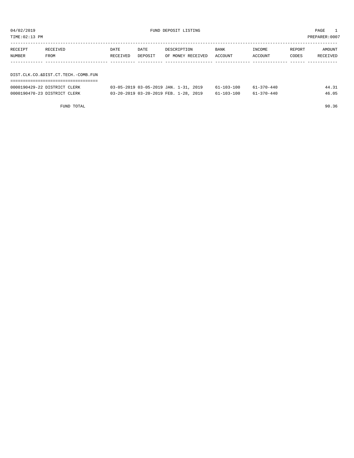| TIME:02:13 PM | PREPARER:0007                       |          |         |                   |             |         |        |          |  |
|---------------|-------------------------------------|----------|---------|-------------------|-------------|---------|--------|----------|--|
| RECEIPT       | RECEIVED                            | DATE     | DATE    | DESCRIPTION       | <b>BANK</b> | INCOME  | REPORT | AMOUNT   |  |
| NUMBER        | FROM                                | RECEIVED | DEPOSIT | OF MONEY RECEIVED | ACCOUNT     | ACCOUNT | CODES  | RECEIVED |  |
|               |                                     |          |         |                   |             |         |        |          |  |
|               | DIST.CLK.CO.&DIST.CT.TECH.-COMB.FUN |          |         |                   |             |         |        |          |  |
|               |                                     |          |         |                   |             |         |        |          |  |

| 0000190429-22 DISTRICT CLERK | 03-05-2019 03-05-2019 JAN. 1-31, 2019 | $61 - 103 - 100$ | $61 - 370 - 440$ | 44.31 |
|------------------------------|---------------------------------------|------------------|------------------|-------|
| 0000190470-23 DISTRICT CLERK | 03-20-2019 03-20-2019 FEB. 1-28, 2019 | $61 - 103 - 100$ | 61-370-440       | 46.05 |

FUND TOTAL 90.36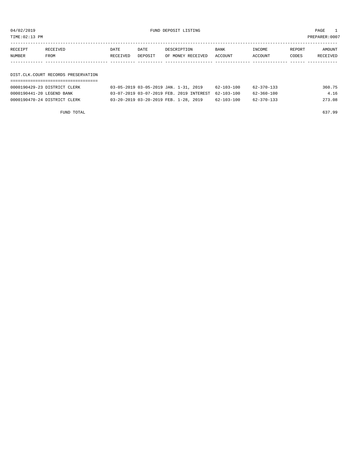| TIME:02:13 PM |                                     |          |         |                   |         |         | PREPARER:0007 |          |  |  |
|---------------|-------------------------------------|----------|---------|-------------------|---------|---------|---------------|----------|--|--|
| RECEIPT       | RECEIVED                            | DATE     | DATE    | DESCRIPTION       | BANK    | INCOME  | REPORT        | AMOUNT   |  |  |
| NUMBER        | FROM                                | RECEIVED | DEPOSIT | OF MONEY RECEIVED | ACCOUNT | ACCOUNT | CODES         | RECEIVED |  |  |
|               |                                     |          |         |                   |         |         |               |          |  |  |
|               |                                     |          |         |                   |         |         |               |          |  |  |
|               | DIST.CLK.COURT RECORDS PRESERVATION |          |         |                   |         |         |               |          |  |  |
|               |                                     |          |         |                   |         |         |               |          |  |  |

| 0000190429-23 DISTRICT CLERK | 03-05-2019 03-05-2019 JAN. 1-31, 2019               | 62-103-100 | 62-370-133 | 360.75 |
|------------------------------|-----------------------------------------------------|------------|------------|--------|
| 0000190441-20 LEGEND BANK    | 03-07-2019 03-07-2019 FEB. 2019 INTEREST 62-103-100 |            | 62-360-100 | 4.16   |
| 0000190470-24 DISTRICT CLERK | 03-20-2019 03-20-2019 FEB. 1-28, 2019               | 62-103-100 | 62-370-133 | 273.08 |

FUND TOTAL 637.99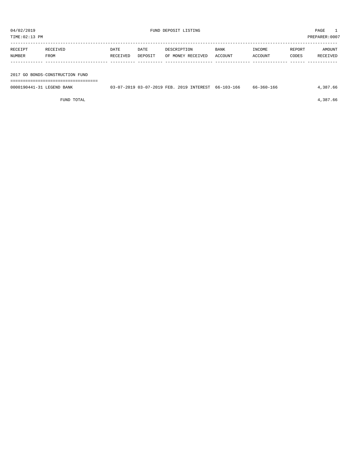${\small \texttt{UWD} \texttt{DEPOST} \texttt{LISTING} } \begin{array}{ll} \multicolumn{3}{c}{ \texttt{M02/2019} } \end{array}$ 

| PREPARER: 0007<br>TIME:02:13 PM |          |          |         |                   |         |         |        |          |  |
|---------------------------------|----------|----------|---------|-------------------|---------|---------|--------|----------|--|
|                                 |          |          |         |                   |         |         |        |          |  |
| RECEIPT                         | RECEIVED | DATE     | DATE    | DESCRIPTION       | BANK    | INCOME  | REPORT | AMOUNT   |  |
| NUMBER                          | FROM     | RECEIVED | DEPOSIT | OF MONEY RECEIVED | ACCOUNT | ACCOUNT | CODES  | RECEIVED |  |
|                                 |          |          |         |                   |         |         |        |          |  |
|                                 |          |          |         |                   |         |         |        |          |  |

2017 GO BONDS-CONSTRUCTION FUND

===================================

| 0000190441-31 LEGEND BANK | 03-07-2019 03-07-2019 FEB. | 3. 2019 INTEREST 66-103-166 | 66-360-166 | .387.66 |
|---------------------------|----------------------------|-----------------------------|------------|---------|
|                           |                            |                             |            |         |

FUND TOTAL 4,387.66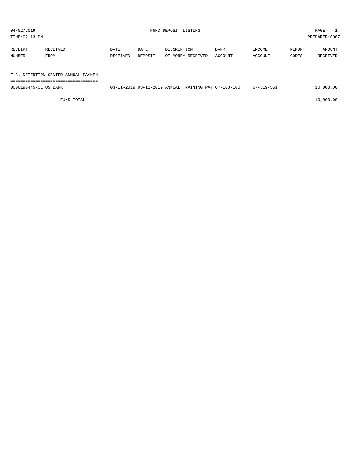| 04/02/2019     |                                     |          |         | FUND DEPOSIT LISTING |         |         |        | PAGE          |  |
|----------------|-------------------------------------|----------|---------|----------------------|---------|---------|--------|---------------|--|
| TIME: 02:13 PM |                                     |          |         |                      |         |         |        | PREPARER:0007 |  |
|                |                                     |          |         |                      |         |         |        |               |  |
| RECEIPT        | RECEIVED                            | DATE     | DATE    | DESCRIPTION          | BANK    | INCOME  | REPORT | AMOUNT        |  |
| NUMBER         | FROM                                | RECEIVED | DEPOSIT | OF MONEY RECEIVED    | ACCOUNT | ACCOUNT | CODES  | RECEIVED      |  |
|                |                                     |          |         |                      |         |         |        |               |  |
|                |                                     |          |         |                      |         |         |        |               |  |
|                | F.C. DETENTION CENTER ANNUAL PAYMEN |          |         |                      |         |         |        |               |  |

===================================

0000190445-01 US BANK 03-11-2019 03-11-2019 ANNUAL TRAINING PAY 67-103-100 67-319-551 10,000.00

 $FUND$  to the contract of  $10,000.00$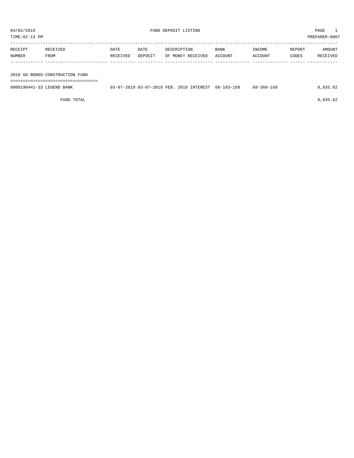| TIME: 02:13 PM |                                 |          |         |                   |             |         |        | PREPARER:0007 |
|----------------|---------------------------------|----------|---------|-------------------|-------------|---------|--------|---------------|
| RECEIPT        | RECEIVED                        | DATE     | DATE    | DESCRIPTION       | <b>BANK</b> | INCOME  | REPORT | AMOUNT        |
| NUMBER         | FROM                            | RECEIVED | DEPOSIT | OF MONEY RECEIVED | ACCOUNT     | ACCOUNT | CODES  | RECEIVED      |
|                |                                 |          |         |                   |             |         |        |               |
|                |                                 |          |         |                   |             |         |        |               |
|                | 2018 GO BONDS-CONSTRUCTION FUND |          |         |                   |             |         |        |               |

===================================

0000190441-33 LEGEND BANK 03-07-2019 03-07-2019 FEB. 2019 INTEREST 68-103-168 68-360-168 8,835.62

FUND TOTAL 8,835.62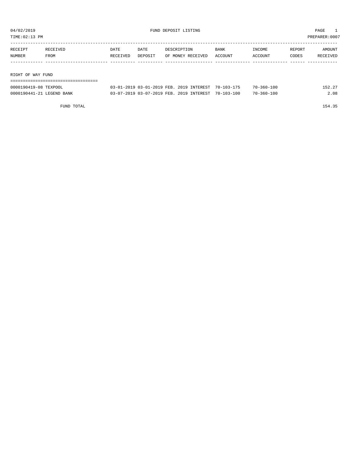| PREPARER: 0007<br>TIME:02:13 PM |          |          |         |                   |         |         |        |          |  |
|---------------------------------|----------|----------|---------|-------------------|---------|---------|--------|----------|--|
| RECEIPT                         | RECEIVED | DATE     | DATE    | DESCRIPTION       | BANK    | INCOME  | REPORT | AMOUNT   |  |
| NUMBER                          | FROM     | RECEIVED | DEPOSIT | OF MONEY RECEIVED | ACCOUNT | ACCOUNT | CODES  | RECEIVED |  |
|                                 |          |          |         |                   |         |         |        |          |  |
| RIGHT OF WAY FUND               |          |          |         |                   |         |         |        |          |  |
|                                 |          |          |         |                   |         |         |        |          |  |

| 0000190419-08 TEXPOOL     |  | 03-01-2019 03-01-2019 FEB. 2019 INTEREST 70-103-175 | 70-360-100       | 152.27 |
|---------------------------|--|-----------------------------------------------------|------------------|--------|
| 0000190441-21 LEGEND BANK |  | 03-07-2019 03-07-2019 FEB. 2019 INTEREST 70-103-100 | $70 - 360 - 100$ | 2.08   |

FUND TOTAL 154.35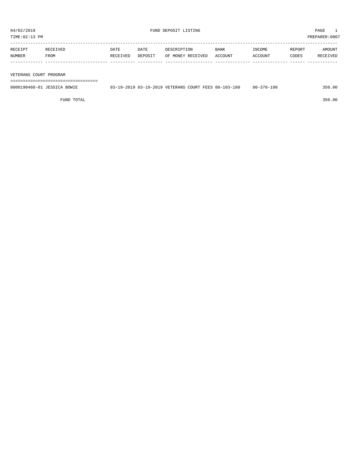| RECEIPT       | RECEIVED | DATE     | DATE    | DESCRIPTION       | <b>BANK</b> | INCOME         | REPORT | AMOUNT          |
|---------------|----------|----------|---------|-------------------|-------------|----------------|--------|-----------------|
| <b>NUMBER</b> | FROM     | RECEIVED | DEPOSIT | OF MONEY RECEIVED | ACCOUNT     | <b>ACCOUNT</b> | CODES  | <b>RECEIVED</b> |
|               |          |          |         |                   |             |                |        |                 |

VETERANS COURT PROGRAM

===================================

| 0000190460-01 JESSICA BOWIE | 03-19-2019 03-19-2019 VETERANS COURT FEES 80-103-180 |  |  | -370-180<br>$80 - 3$ | 350.00 |
|-----------------------------|------------------------------------------------------|--|--|----------------------|--------|
|                             |                                                      |  |  |                      |        |

FUND TOTAL 350.00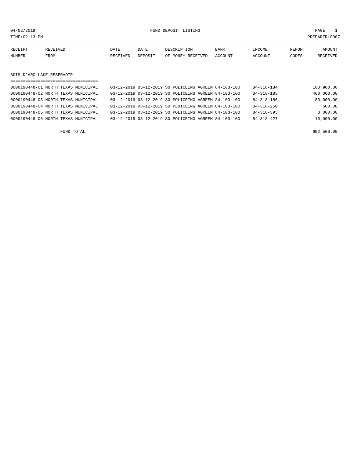04/02/2019 FUND DEPOSIT LISTING PAGE 1

| RECEIPT | <b>RECEIVED</b> | DATE            | DATE    | DESCRIPTION       | <b>BANK</b> | INCOME  | REPORT | AMOUNT   |
|---------|-----------------|-----------------|---------|-------------------|-------------|---------|--------|----------|
| NUMBER  | FROM            | <b>RECEIVED</b> | DEPOSIT | OF MONEY RECEIVED | ACCOUNT     | ACCOUNT | CODES  | RECEIVED |
|         |                 |                 |         |                   |             |         |        |          |

BOIS D'ARC LAKE RESERVOIR

| ------------------------------------- |                                                      |                  |            |
|---------------------------------------|------------------------------------------------------|------------------|------------|
| 0000190448-01 NORTH TEXAS MUNICIPAL   | 03-12-2019 03-12-2019 SO POLICEING AGREEM 84-103-100 | 84-318-184       | 108,900.00 |
| 0000190448-02 NORTH TEXAS MUNICIPAL   | 03-12-2019 03-12-2019 SO POLICEING AGREEM 84-103-100 | $84 - 318 - 185$ | 400,000.00 |
| 0000190448-03 NORTH TEXAS MUNICIPAL   | 03-12-2019 03-12-2019 SO POLICEING AGREEM 84-103-100 | $84 - 318 - 186$ | 80,000.00  |
| 0000190448-04 NORTH TEXAS MUNICIPAL   | 03-12-2019 03-12-2019 SO PLOICEING AGREEM 84-103-100 | $84 - 318 - 250$ | 600.00     |
| 0000190448-05 NORTH TEXAS MUNICIPAL   | 03-12-2019 03-12-2019 SO POLICEING AGREEM 84-103-100 | $84 - 318 - 395$ | 3.000.00   |
| 0000190448-06 NORTH TEXAS MUNICIPAL   | 03-12-2019 03-12-2019 SO POLICEING AGREEM 84-103-100 | $84 - 318 - 427$ | 10,000.00  |
|                                       |                                                      |                  |            |

FUND TOTAL 602,500.00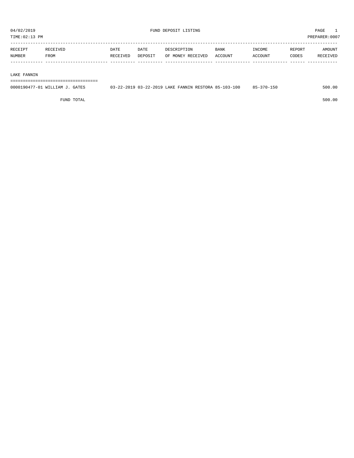| TIME:02:13 PM<br>PREPARER: 0007 |                         |                         |                 |                                  |                        |                   |                 |                                  |
|---------------------------------|-------------------------|-------------------------|-----------------|----------------------------------|------------------------|-------------------|-----------------|----------------------------------|
| RECEIPT<br>NUMBER               | <b>RECEIVED</b><br>FROM | <b>DATE</b><br>RECEIVED | DATE<br>DEPOSIT | DESCRIPTION<br>OF MONEY RECEIVED | <b>BANK</b><br>ACCOUNT | INCOME<br>ACCOUNT | REPORT<br>CODES | <b>AMOUNT</b><br><b>RECEIVED</b> |
|                                 |                         |                         |                 |                                  |                        |                   |                 |                                  |

#### LAKE FANNIN

===================================

| 0000190477-01 WILLIAM J. GATES | 03-22-2019 03-22-2019 LAKE FANNIN RESTORA 85-103-100 | $85 - 370 - 150$ | 500.00 |
|--------------------------------|------------------------------------------------------|------------------|--------|
|                                |                                                      |                  |        |

FUND TOTAL 500.00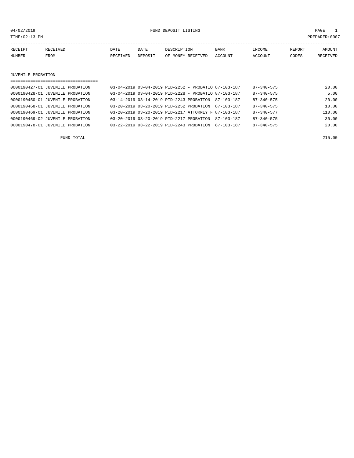04/02/2019 FUND DEPOSIT LISTING PAGE 1

| RECEIPT | RECEIVED | DATE     | DATE    | DESCRIPTION       | <b>BANK</b> | INCOME  | <b>REPORT</b> | AMOUNT          |
|---------|----------|----------|---------|-------------------|-------------|---------|---------------|-----------------|
| NUMBER  | FROM     | RECEIVED | DEPOSIT | OF MONEY RECEIVED | ACCOUNT     | ACCOUNT | CODES         | <b>RECEIVED</b> |
|         |          |          |         |                   |             |         |               |                 |

JUVENILE PROBATION

| ==================================== |                                                          |                  |        |
|--------------------------------------|----------------------------------------------------------|------------------|--------|
| 0000190427-01 JUVENILE PROBATION     | $03-04-2019$ $03-04-2019$ PID-2252 - PROBATIO 87-103-187 | 87-340-575       | 20.00  |
| 0000190428-01 JUVENILE PROBATION     | 03-04-2019 03-04-2019 PID-2228 - PROBATIO 87-103-187     | $87 - 340 - 575$ | 5.00   |
| 0000190450-01 JUVENILE PROBATION     | 03-14-2019 03-14-2019 PID-2243 PROBATION 87-103-187      | $87 - 340 - 575$ | 20.00  |
| 0000190468-01 JUVENILE PROBATION     | 03-20-2019 03-20-2019 PID-2252 PROBATION 87-103-187      | $87 - 340 - 575$ | 10.00  |
| 0000190469-01 JUVENILE PROBATION     | 03-20-2019 03-20-2019 PID-2217 ATTORNEY F 87-103-187     | $87 - 340 - 577$ | 110.00 |
| 0000190469-02 JUVENILE PROBATION     | 03-20-2019 03-20-2019 PTD-2217 PROBATION<br>87-103-187   | $87 - 340 - 575$ | 30.00  |
| 0000190478-01 JUVENILE PROBATION     | 03-22-2019 03-22-2019 PID-2243 PROBATION<br>87-103-187   | $87 - 340 - 575$ | 20.00  |
|                                      |                                                          |                  |        |

FUND TOTAL 215.00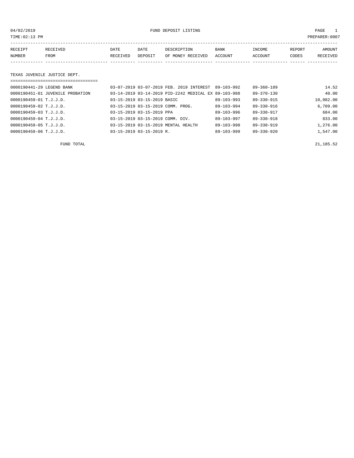04/02/2019 FUND DEPOSIT LISTING PAGE 1

| RECEIPT       | RECEIVED | DATE     | DATE    | DESCRIPTION       | BANK    | INCOME  | REPORT | <b>AMOUNT</b> |
|---------------|----------|----------|---------|-------------------|---------|---------|--------|---------------|
| <b>NUMBER</b> | FROM     | RECEIVED | DEPOSIT | OF MONEY RECEIVED | ACCOUNT | ACCOUNT | CODES  | RECEIVED      |
|               |          |          |         |                   |         |         |        |               |
|               |          |          |         |                   |         |         |        |               |

# TEXAS JUVENILE JUSTICE DEPT.

| ================================== |                                                      |                  |                  |           |
|------------------------------------|------------------------------------------------------|------------------|------------------|-----------|
| 0000190441-29 LEGEND BANK          | 03-07-2019 03-07-2019 FEB. 2019 INTEREST             | 89-103-992       | $89 - 360 - 189$ | 14.52     |
| 0000190451-01 JUVENILE PROBATION   | 03-14-2019 03-14-2019 PID-2242 MEDICAL EX 89-103-988 |                  | $89 - 370 - 130$ | 40.00     |
| 0000190459-01 T.J.J.D.             | 03-15-2019 03-15-2019 BASIC                          | $89 - 103 - 993$ | 89-330-915       | 10,082.00 |
| 0000190459-02 T.J.J.D.             | 03-15-2019 03-15-2019 COMM. PROG.                    | $89 - 103 - 994$ | 89-330-916       | 6.709.00  |
| 0000190459-03 T.J.J.D.             | 03-15-2019 03-15-2019 PPA                            | $89 - 103 - 996$ | 89-330-917       | 684.00    |
| $0000190459 - 04$ T.J.J.D.         | 03-15-2019 03-15-2019 COMM. DIV.                     | $89 - 103 - 997$ | $89 - 330 - 918$ | 833.00    |
| 0000190459-05 T.J.J.D.             | 03-15-2019 03-15-2019 MENTAL HEALTH                  | $89 - 103 - 998$ | $89 - 330 - 919$ | 1,276.00  |
| 0000190459-06 T.J.J.D.             | $03 - 15 - 2019$ $03 - 15 - 2019$ R.                 | $89 - 103 - 999$ | $89 - 330 - 920$ | 1,547.00  |

FUND TOTAL 21,185.52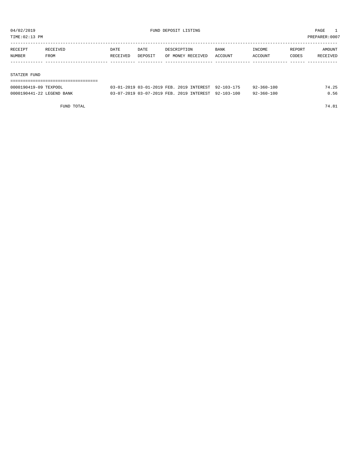TIME:02:13 PM PREPARER:0007

| RECEIPT | RECEIVED | DATE     | DATE    | DESCRIPTION       | BANK    | INCOME  | REPORT | AMOUNT   |
|---------|----------|----------|---------|-------------------|---------|---------|--------|----------|
| NUMBER  | FROM     | RECEIVED | DEPOSIT | OF MONEY RECEIVED | ACCOUNT | ACCOUNT | CODES  | RECEIVED |
|         |          |          |         |                   |         |         |        |          |
|         |          |          |         |                   |         |         |        |          |

#### STATZER FUND

| 0000190419-09 TEXPOOL     | 03-01-2019 03-01-2019 FEB. 2019 INTEREST 92-103-175 |  | $92 - 360 - 100$ | 74.25 |
|---------------------------|-----------------------------------------------------|--|------------------|-------|
| 0000190441-22 LEGEND BANK | 03-07-2019 03-07-2019 FEB. 2019 INTEREST 92-103-100 |  | $92 - 360 - 100$ | 0.56  |

FUND TOTAL 74.81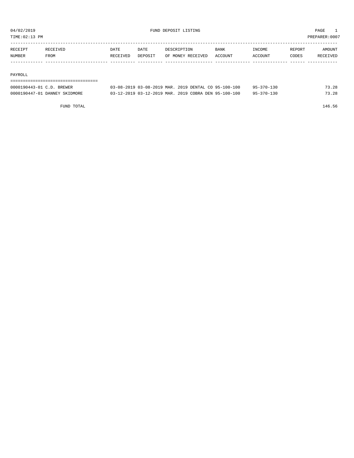TIME:02:13 PM PREPARER:0007

| RECEIPT | <b>RECEIVED</b> | DATE     | DATE    | DESCRIPTION       | <b>BANK</b> | INCOME  | REPORT | AMOUNT          |
|---------|-----------------|----------|---------|-------------------|-------------|---------|--------|-----------------|
| NUMBER  | FROM            | RECEIVED | DEPOSIT | OF MONEY RECEIVED | ACCOUNT     | ACCOUNT | CODES  | <b>RECEIVED</b> |
|         |                 |          |         |                   |             |         |        |                 |

#### PAYROLL

===================================

| 0000190443-01 C.D. BREWER     | 03-08-2019 03-08-2019 MAR, 2019 DENTAL CO 95-100-100 | $95 - 370 - 130$ | 73.28 |
|-------------------------------|------------------------------------------------------|------------------|-------|
| 0000190447-01 DANNEY SKIDMORE | 03-12-2019 03-12-2019 MAR, 2019 COBRA DEN 95-100-100 | $95 - 370 - 130$ | 73.28 |

FUND TOTAL 146.56